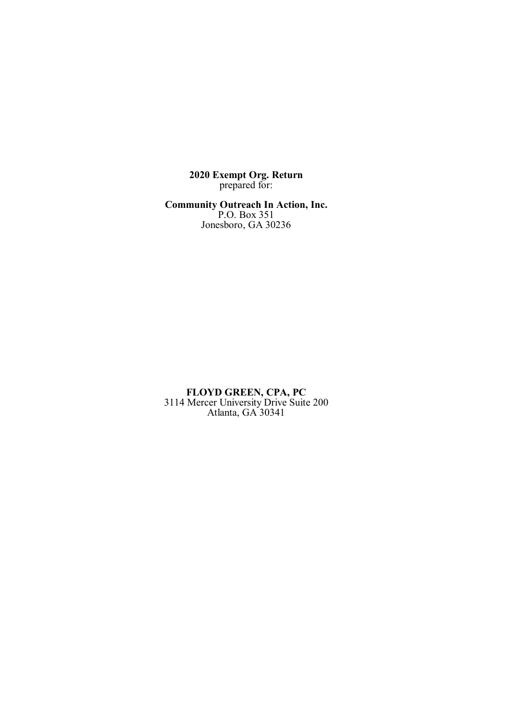**2020 Exempt Org. Return** prepared for:

**Community Outreach In Action, Inc.** P.O. Box 351 Jonesboro, GA 30236

**FLOYD GREEN, CPA, PC** 3114 Mercer University Drive Suite 200 Atlanta, GA 30341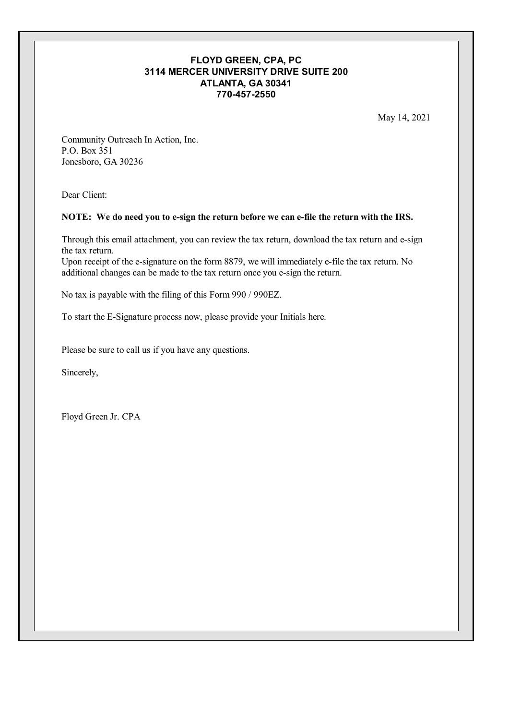# **FLOYD GREEN, CPA, PC 3114 MERCER UNIVERSITY DRIVE SUITE 200 ATLANTA, GA 30341 770-457-2550**

May 14, 2021

Community Outreach In Action, Inc. P.O. Box 351 Jonesboro, GA 30236

Dear Client:

# **NOTE: We do need you to e-sign the return before we can e-file the return with the IRS.**

Through this email attachment, you can review the tax return, download the tax return and e-sign the tax return.

Upon receipt of the e-signature on the form 8879, we will immediately e-file the tax return. No additional changes can be made to the tax return once you e-sign the return.

No tax is payable with the filing of this Form 990 / 990EZ.

To start the E-Signature process now, please provide your Initials here.

Please be sure to call us if you have any questions.

Sincerely,

Floyd Green Jr. CPA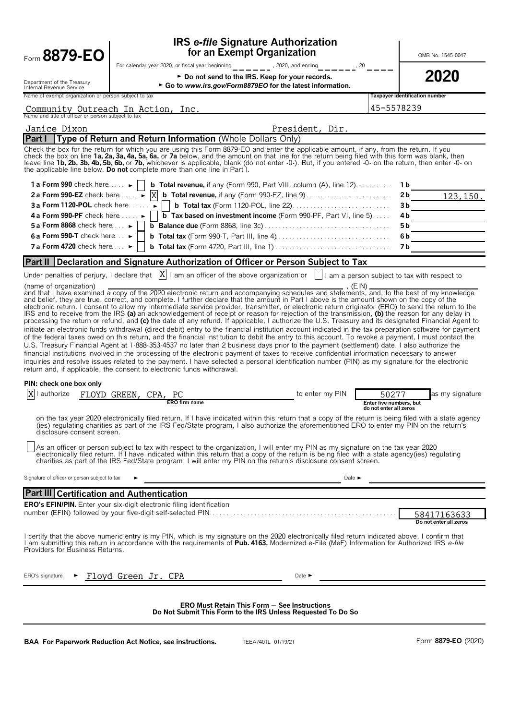| Form 8879-EO                                                                                          |                                                                                                   | <b>IRS e-file Signature Authorization</b><br>for an Exempt Organization                                                                                                                                                                                                                                                                                                                                                                                                                                                                                                                                                                                                                                                                                                                                                                                                                                                                                                                                                                                                                                                                                                                                                                                                                                                                                                                                                                                                                                                                                                                                                                                                                                                                                                                                                                                                                                                                                                                                                                                                                                                                                                                                                                                                                                                                                                                                           |                                                                       | OMB No. 1545-0047                     |
|-------------------------------------------------------------------------------------------------------|---------------------------------------------------------------------------------------------------|-------------------------------------------------------------------------------------------------------------------------------------------------------------------------------------------------------------------------------------------------------------------------------------------------------------------------------------------------------------------------------------------------------------------------------------------------------------------------------------------------------------------------------------------------------------------------------------------------------------------------------------------------------------------------------------------------------------------------------------------------------------------------------------------------------------------------------------------------------------------------------------------------------------------------------------------------------------------------------------------------------------------------------------------------------------------------------------------------------------------------------------------------------------------------------------------------------------------------------------------------------------------------------------------------------------------------------------------------------------------------------------------------------------------------------------------------------------------------------------------------------------------------------------------------------------------------------------------------------------------------------------------------------------------------------------------------------------------------------------------------------------------------------------------------------------------------------------------------------------------------------------------------------------------------------------------------------------------------------------------------------------------------------------------------------------------------------------------------------------------------------------------------------------------------------------------------------------------------------------------------------------------------------------------------------------------------------------------------------------------------------------------------------------------|-----------------------------------------------------------------------|---------------------------------------|
|                                                                                                       | For calendar year 2020, or fiscal year beginning For calendar year 2020, and ending               | , 20                                                                                                                                                                                                                                                                                                                                                                                                                                                                                                                                                                                                                                                                                                                                                                                                                                                                                                                                                                                                                                                                                                                                                                                                                                                                                                                                                                                                                                                                                                                                                                                                                                                                                                                                                                                                                                                                                                                                                                                                                                                                                                                                                                                                                                                                                                                                                                                                              |                                                                       |                                       |
| Department of the Treasury<br>Internal Revenue Service                                                |                                                                                                   | ► Do not send to the IRS. Keep for your records.<br>► Go to www.irs.gov/Form8879EO for the latest information.                                                                                                                                                                                                                                                                                                                                                                                                                                                                                                                                                                                                                                                                                                                                                                                                                                                                                                                                                                                                                                                                                                                                                                                                                                                                                                                                                                                                                                                                                                                                                                                                                                                                                                                                                                                                                                                                                                                                                                                                                                                                                                                                                                                                                                                                                                    |                                                                       | 2020                                  |
| Name of exempt organization or person subject to tax                                                  |                                                                                                   |                                                                                                                                                                                                                                                                                                                                                                                                                                                                                                                                                                                                                                                                                                                                                                                                                                                                                                                                                                                                                                                                                                                                                                                                                                                                                                                                                                                                                                                                                                                                                                                                                                                                                                                                                                                                                                                                                                                                                                                                                                                                                                                                                                                                                                                                                                                                                                                                                   |                                                                       | <b>Taxpayer identification number</b> |
| Name and title of officer or person subject to tax                                                    | Community Outreach In Action, Inc.                                                                |                                                                                                                                                                                                                                                                                                                                                                                                                                                                                                                                                                                                                                                                                                                                                                                                                                                                                                                                                                                                                                                                                                                                                                                                                                                                                                                                                                                                                                                                                                                                                                                                                                                                                                                                                                                                                                                                                                                                                                                                                                                                                                                                                                                                                                                                                                                                                                                                                   | 45-5578239                                                            |                                       |
| Janice Dixon                                                                                          |                                                                                                   | President, Dir.                                                                                                                                                                                                                                                                                                                                                                                                                                                                                                                                                                                                                                                                                                                                                                                                                                                                                                                                                                                                                                                                                                                                                                                                                                                                                                                                                                                                                                                                                                                                                                                                                                                                                                                                                                                                                                                                                                                                                                                                                                                                                                                                                                                                                                                                                                                                                                                                   |                                                                       |                                       |
| Part I                                                                                                | Type of Return and Return Information (Whole Dollars Only)                                        |                                                                                                                                                                                                                                                                                                                                                                                                                                                                                                                                                                                                                                                                                                                                                                                                                                                                                                                                                                                                                                                                                                                                                                                                                                                                                                                                                                                                                                                                                                                                                                                                                                                                                                                                                                                                                                                                                                                                                                                                                                                                                                                                                                                                                                                                                                                                                                                                                   |                                                                       |                                       |
|                                                                                                       | the applicable line below. Do not complete more than one line in Part I.                          | Check the box for the return for which you are using this Form 8879-EO and enter the applicable amount, if any, from the return. If you<br>check the box on line 1a, 2a, 3a, 4a, 5a, 6a, or 7a below, and the amount on that line for the return being filed with this form was blank, then<br>leave line 1b, 2b, 3b, 4b, 5b, 6b, or 7b, whichever is applicable, blank (do not enter -0-). But, if you entered -0- on the return, then enter -0- on                                                                                                                                                                                                                                                                                                                                                                                                                                                                                                                                                                                                                                                                                                                                                                                                                                                                                                                                                                                                                                                                                                                                                                                                                                                                                                                                                                                                                                                                                                                                                                                                                                                                                                                                                                                                                                                                                                                                                              |                                                                       |                                       |
| 1 a Form 990 check here $\ldots \rightarrow$                                                          |                                                                                                   | <b>b</b> Total revenue, if any (Form 990, Part VIII, column $(A)$ , line $12$ )                                                                                                                                                                                                                                                                                                                                                                                                                                                                                                                                                                                                                                                                                                                                                                                                                                                                                                                                                                                                                                                                                                                                                                                                                                                                                                                                                                                                                                                                                                                                                                                                                                                                                                                                                                                                                                                                                                                                                                                                                                                                                                                                                                                                                                                                                                                                   |                                                                       | 1 b                                   |
|                                                                                                       |                                                                                                   |                                                                                                                                                                                                                                                                                                                                                                                                                                                                                                                                                                                                                                                                                                                                                                                                                                                                                                                                                                                                                                                                                                                                                                                                                                                                                                                                                                                                                                                                                                                                                                                                                                                                                                                                                                                                                                                                                                                                                                                                                                                                                                                                                                                                                                                                                                                                                                                                                   |                                                                       | 2 <sub>b</sub><br>123,150.            |
| 3a Form 1120-POL check here                                                                           |                                                                                                   |                                                                                                                                                                                                                                                                                                                                                                                                                                                                                                                                                                                                                                                                                                                                                                                                                                                                                                                                                                                                                                                                                                                                                                                                                                                                                                                                                                                                                                                                                                                                                                                                                                                                                                                                                                                                                                                                                                                                                                                                                                                                                                                                                                                                                                                                                                                                                                                                                   |                                                                       | 3b                                    |
| 4 a Form 990-PF check here $\ldots \blacktriangleright$                                               |                                                                                                   | <b>b</b> Tax based on investment income (Form 990-PF, Part VI, line 5)                                                                                                                                                                                                                                                                                                                                                                                                                                                                                                                                                                                                                                                                                                                                                                                                                                                                                                                                                                                                                                                                                                                                                                                                                                                                                                                                                                                                                                                                                                                                                                                                                                                                                                                                                                                                                                                                                                                                                                                                                                                                                                                                                                                                                                                                                                                                            |                                                                       | 4b                                    |
| 5 a Form 8868 check here $\ldots \blacktriangleright$                                                 |                                                                                                   |                                                                                                                                                                                                                                                                                                                                                                                                                                                                                                                                                                                                                                                                                                                                                                                                                                                                                                                                                                                                                                                                                                                                                                                                                                                                                                                                                                                                                                                                                                                                                                                                                                                                                                                                                                                                                                                                                                                                                                                                                                                                                                                                                                                                                                                                                                                                                                                                                   |                                                                       | 5 b                                   |
| 6 a Form 990-T check here $\blacktriangleright$                                                       |                                                                                                   |                                                                                                                                                                                                                                                                                                                                                                                                                                                                                                                                                                                                                                                                                                                                                                                                                                                                                                                                                                                                                                                                                                                                                                                                                                                                                                                                                                                                                                                                                                                                                                                                                                                                                                                                                                                                                                                                                                                                                                                                                                                                                                                                                                                                                                                                                                                                                                                                                   |                                                                       | 6b                                    |
| 7 a Form 4720 check here $\ldots$                                                                     |                                                                                                   |                                                                                                                                                                                                                                                                                                                                                                                                                                                                                                                                                                                                                                                                                                                                                                                                                                                                                                                                                                                                                                                                                                                                                                                                                                                                                                                                                                                                                                                                                                                                                                                                                                                                                                                                                                                                                                                                                                                                                                                                                                                                                                                                                                                                                                                                                                                                                                                                                   |                                                                       | 7 b                                   |
| IPart II                                                                                              |                                                                                                   | Declaration and Signature Authorization of Officer or Person Subject to Tax                                                                                                                                                                                                                                                                                                                                                                                                                                                                                                                                                                                                                                                                                                                                                                                                                                                                                                                                                                                                                                                                                                                                                                                                                                                                                                                                                                                                                                                                                                                                                                                                                                                                                                                                                                                                                                                                                                                                                                                                                                                                                                                                                                                                                                                                                                                                       |                                                                       |                                       |
| (name of organization)<br>PIN: check one box only<br>authorize<br>FLOYD<br>disclosure consent screen. | return and, if applicable, the consent to electronic funds withdrawal.<br>GREEN,<br>ERO firm name | Under penalties of perjury, I declare that $ X $ I am an officer of the above organization or $ X $ I am a person subject to tax with respect to<br>and that I have examined a copy of the 2020 electronic return and accompanying schedules and statements, and, to the best of my knowledge<br>and belief, they are true, correct, and complete. I further declare that the amount in Part I above is the amount shown on the copy of the<br>electronic return. I consent to allow my intermediate service provider, transmitter, or electronic return originator (ERO) to send the return to the<br>IRS and to receive from the IRS (a) an acknowledgement of receipt or reason for rejection of the transmission, (b) the reason for any delay in<br>processing the return or refund, and (c) the date of any refund. If applicable, I authorize the U.S. Treasury and its designated Financial Agent to<br>initiate an electronic funds withdrawal (direct debit) entry to the financial institution account indicated in the tax preparation software for payment<br>of the federal taxes owed on this return, and the financial institution to debit the entry to this account. To revoke a payment, I must contact the<br>U.S. Treasury Financial Agent at 1-888-353-4537 no later than 2 business days prior to the payment (settlement) date. I also authorize the<br>financial institutions involved in the processing of the electronic payment of taxes to receive confidential information necessary to answer<br>inquiries and resolve issues related to the payment. I have selected a personal identification number (PIN) as my signature for the electronic<br>to enter my PIN<br>on the tax year 2020 electronically filed return. If I have indicated within this return that a copy of the return is being filed with a state agency<br>(ies) regulating charities as part of the IRS Fed/State program, I also authorize the aforementioned ERO to enter my PIN on the return's<br>As an officer or person subject to tax with respect to the organization, I will enter my PIN as my signature on the tax year 2020<br>electronically filed return. If I have indicated within this return that a copy of the return is being filed with a state agency(ies) regulating<br>charities as part of the IRS Fed/State program. I will enter my PIN on the return's disclosure consent screen. | , (EIN)<br>50277<br>Enter five numbers, but<br>do not enter all zeros | as my signature                       |
| Signature of officer or person subject to tax                                                         |                                                                                                   | Date $\blacktriangleright$                                                                                                                                                                                                                                                                                                                                                                                                                                                                                                                                                                                                                                                                                                                                                                                                                                                                                                                                                                                                                                                                                                                                                                                                                                                                                                                                                                                                                                                                                                                                                                                                                                                                                                                                                                                                                                                                                                                                                                                                                                                                                                                                                                                                                                                                                                                                                                                        |                                                                       |                                       |
| <b>Part III Certification and Authentication</b>                                                      |                                                                                                   |                                                                                                                                                                                                                                                                                                                                                                                                                                                                                                                                                                                                                                                                                                                                                                                                                                                                                                                                                                                                                                                                                                                                                                                                                                                                                                                                                                                                                                                                                                                                                                                                                                                                                                                                                                                                                                                                                                                                                                                                                                                                                                                                                                                                                                                                                                                                                                                                                   |                                                                       |                                       |
|                                                                                                       | <b>ERO's EFIN/PIN.</b> Enter your six-digit electronic filing identification                      |                                                                                                                                                                                                                                                                                                                                                                                                                                                                                                                                                                                                                                                                                                                                                                                                                                                                                                                                                                                                                                                                                                                                                                                                                                                                                                                                                                                                                                                                                                                                                                                                                                                                                                                                                                                                                                                                                                                                                                                                                                                                                                                                                                                                                                                                                                                                                                                                                   |                                                                       | 58417163633                           |
| Providers for Business Returns.                                                                       |                                                                                                   | I certify that the above numeric entry is my PIN, which is my signature on the 2020 electronically filed return indicated above. I confirm that<br>I am submitting this return in accordance with the requirements of Pub. 4163, Modernized e-File (MeF) Information for Authorized IRS e-file                                                                                                                                                                                                                                                                                                                                                                                                                                                                                                                                                                                                                                                                                                                                                                                                                                                                                                                                                                                                                                                                                                                                                                                                                                                                                                                                                                                                                                                                                                                                                                                                                                                                                                                                                                                                                                                                                                                                                                                                                                                                                                                    |                                                                       | Do not enter all zeros                |
| ERO's signature                                                                                       | Floyd Green Jr. CPA                                                                               | Date $\blacktriangleright$                                                                                                                                                                                                                                                                                                                                                                                                                                                                                                                                                                                                                                                                                                                                                                                                                                                                                                                                                                                                                                                                                                                                                                                                                                                                                                                                                                                                                                                                                                                                                                                                                                                                                                                                                                                                                                                                                                                                                                                                                                                                                                                                                                                                                                                                                                                                                                                        |                                                                       |                                       |
|                                                                                                       |                                                                                                   | <b>ERO Must Retain This Form - See Instructions</b><br>Do Not Submit This Form to the IRS Unless Requested To Do So                                                                                                                                                                                                                                                                                                                                                                                                                                                                                                                                                                                                                                                                                                                                                                                                                                                                                                                                                                                                                                                                                                                                                                                                                                                                                                                                                                                                                                                                                                                                                                                                                                                                                                                                                                                                                                                                                                                                                                                                                                                                                                                                                                                                                                                                                               |                                                                       |                                       |

**BAA For Paperwork Reduction Act Notice, see instructions.** TEEA7401L 01/19/21 Form 8879-EO (2020)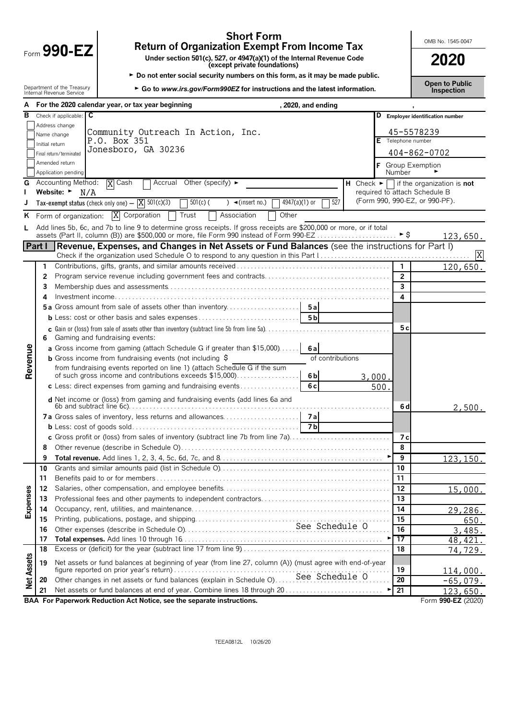| <b>Short Form</b>                       |  |
|-----------------------------------------|--|
| eturn of Organization Exempt From Inco' |  |

Form 990-EZ Return of Organization Exempt From Income Tax Form **990-EZ** Return of Organization Exempt From Income Tax Under section 501(c), 527, or 4947(a)(1) of the Internal Revenue Code Under section 501(c), 527, or 4947(a)(1) of the Internal Revenue Code<br>(except private foundations)

► Do not enter social security numbers on this form, as it may be made public.

**Open to Public**<br>
Internal Revenue Service ★ Go to *www.irs.gov/Form990EZ* for instructions and the latest information. Inspection

| ×<br>×<br>۰.<br>I |  |
|-------------------|--|
|-------------------|--|

|                   |                | For the 2020 calendar year, or tax year beginning<br>, 2020, and ending                                                                                                                                          |     |                                                                          |
|-------------------|----------------|------------------------------------------------------------------------------------------------------------------------------------------------------------------------------------------------------------------|-----|--------------------------------------------------------------------------|
| в                 |                | C<br>Check if applicable:                                                                                                                                                                                        |     | D Employer identification number                                         |
|                   |                | Address change                                                                                                                                                                                                   |     |                                                                          |
|                   |                | Community Outreach In Action, Inc.<br>Name change                                                                                                                                                                |     | 45-5578239                                                               |
|                   | Initial return | P.O. Box 351                                                                                                                                                                                                     | Е   | Telephone number                                                         |
|                   |                | Jonesboro, GA 30236<br>Final return/terminated                                                                                                                                                                   |     | $404 - 862 - 0702$                                                       |
|                   |                | Amended return                                                                                                                                                                                                   |     | <b>F</b> Group Exemption                                                 |
|                   |                | Application pending                                                                                                                                                                                              |     | Number                                                                   |
| G                 |                | Accounting Method:<br><b>X</b> Cash<br>Accrual Other (specify) $\blacktriangleright$                                                                                                                             |     | <b>H</b> Check $\blacktriangleright$   if the organization is <b>not</b> |
|                   |                | Website: $\blacktriangleright$<br>N/A                                                                                                                                                                            |     | required to attach Schedule B                                            |
|                   |                | Tax-exempt status (check only one) $-\overline{X}$ 501(c)(3)<br>527<br>$501(c)$ (<br>$4947(a)(1)$ or<br>) $\blacktriangleleft$ (insert no.)                                                                      |     | (Form 990, 990-EZ, or 990-PF).                                           |
| ĸ                 |                | $\overline{X}$ Corporation<br>Other<br>Trust<br>Association<br>Form of organization:                                                                                                                             |     |                                                                          |
| L.                |                | Add lines 5b, 6c, and 7b to line 9 to determine gross receipts. If gross receipts are \$200,000 or more, or if total<br>assets (Part II, column (B)) are \$500,000 or more, file Form 990 instead of Form 990-EZ |     | ิ ► \$                                                                   |
|                   | <b>Part I</b>  | Revenue, Expenses, and Changes in Net Assets or Fund Balances (see the instructions for Part I)                                                                                                                  |     | 123,650.                                                                 |
|                   |                |                                                                                                                                                                                                                  |     | IX                                                                       |
|                   | 1              |                                                                                                                                                                                                                  |     | $\mathbf{1}$<br>120,650.                                                 |
|                   | 2              |                                                                                                                                                                                                                  |     | $\overline{2}$                                                           |
|                   | 3              |                                                                                                                                                                                                                  |     | 3                                                                        |
|                   | 4              |                                                                                                                                                                                                                  |     | 4                                                                        |
|                   |                |                                                                                                                                                                                                                  |     |                                                                          |
|                   |                |                                                                                                                                                                                                                  |     |                                                                          |
|                   |                |                                                                                                                                                                                                                  |     | 5c                                                                       |
|                   | 6              | Gaming and fundraising events:                                                                                                                                                                                   |     |                                                                          |
|                   |                | <b>a</b> Gross income from gaming (attach Schedule G if greater than $$15,000$ )<br>6al                                                                                                                          |     |                                                                          |
|                   |                | <b>b</b> Gross income from fundraising events (not including $\ddot{\theta}$<br>of contributions                                                                                                                 |     |                                                                          |
| Revenue           |                | from fundraising events reported on line 1) (attach Schedule G if the sum                                                                                                                                        |     |                                                                          |
|                   |                | of such gross income and contributions exceeds \$15,000)<br>6 <sub>b</sub><br>3,000.                                                                                                                             |     |                                                                          |
|                   |                | 6 <sub>c</sub><br>c Less: direct expenses from gaming and fundraising events                                                                                                                                     | 500 |                                                                          |
|                   |                | d Net income or (loss) from gaming and fundraising events (add lines 6a and                                                                                                                                      |     | 6 d<br>2,500.                                                            |
|                   |                | 7a Gross sales of inventory, less returns and allowances<br>7al                                                                                                                                                  |     |                                                                          |
|                   |                | 7 <sub>b</sub>                                                                                                                                                                                                   |     |                                                                          |
|                   |                | c Gross profit or (loss) from sales of inventory (subtract line 7b from line 7a)                                                                                                                                 |     | 7 с                                                                      |
|                   | 8              |                                                                                                                                                                                                                  |     | 8                                                                        |
|                   | 9              |                                                                                                                                                                                                                  |     | 9<br>123, 150.                                                           |
|                   | 10             |                                                                                                                                                                                                                  |     | 10                                                                       |
|                   | 11             | Benefits paid to or for members                                                                                                                                                                                  |     | $\overline{11}$                                                          |
| Expenses          | 12             |                                                                                                                                                                                                                  |     | 12<br>15,000.                                                            |
|                   | 13             |                                                                                                                                                                                                                  |     | 13                                                                       |
|                   | 14             |                                                                                                                                                                                                                  |     | 14<br>29,286.                                                            |
|                   | 15             |                                                                                                                                                                                                                  |     | 15<br>650.                                                               |
|                   | 16             |                                                                                                                                                                                                                  |     | 16<br>3,485.                                                             |
|                   | 17<br>18       |                                                                                                                                                                                                                  |     | 17<br>48, 421.<br>18                                                     |
|                   |                |                                                                                                                                                                                                                  |     | 74,729.                                                                  |
| <b>Net Assets</b> | 19             | Net assets or fund balances at beginning of year (from line 27, column (A)) (must agree with end-of-year                                                                                                         |     | 19                                                                       |
|                   | 20             | Other changes in net assets or fund balances (explain in Schedule O) See Schedule O                                                                                                                              |     | 114,000.<br>20                                                           |
|                   | 21             | Net assets or fund balances at end of year. Combine lines 18 through 20                                                                                                                                          |     | $-65,079.$<br>21<br>123,650.                                             |
|                   |                | BAA For Paperwork Reduction Act Notice, see the separate instructions.                                                                                                                                           |     | Form 990-EZ (2020)                                                       |
|                   |                |                                                                                                                                                                                                                  |     |                                                                          |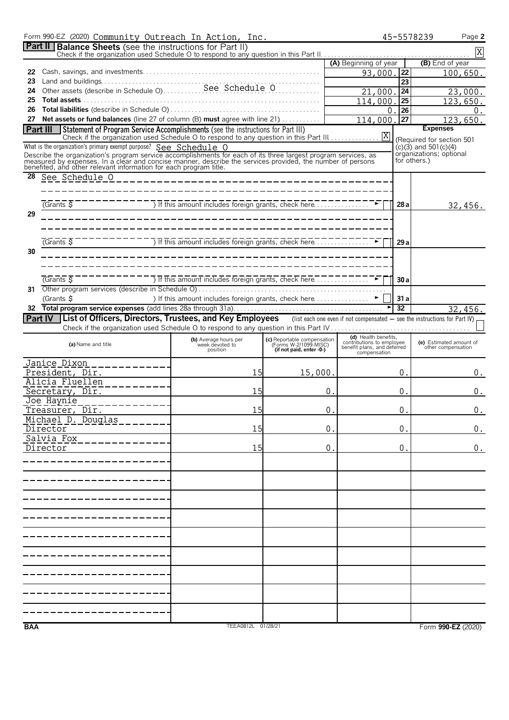|                 | Form 990-EZ (2020) Community Outreach In Action, Inc.                                                                                                                                                                                |                                                         |                                                                                  |                                                                                                  |       | 45-5578239<br>Page 2                          |
|-----------------|--------------------------------------------------------------------------------------------------------------------------------------------------------------------------------------------------------------------------------------|---------------------------------------------------------|----------------------------------------------------------------------------------|--------------------------------------------------------------------------------------------------|-------|-----------------------------------------------|
| <b>Part II</b>  | <b>Balance Sheets</b> (see the instructions for Part II)                                                                                                                                                                             |                                                         |                                                                                  |                                                                                                  |       | X                                             |
|                 |                                                                                                                                                                                                                                      |                                                         |                                                                                  | (A) Beginning of year                                                                            |       | (B) End of year                               |
| 22              |                                                                                                                                                                                                                                      |                                                         |                                                                                  | 93,000                                                                                           | 22    | 100,650.                                      |
| 23              |                                                                                                                                                                                                                                      |                                                         |                                                                                  |                                                                                                  | 23    |                                               |
| 24              |                                                                                                                                                                                                                                      |                                                         |                                                                                  | 21,000                                                                                           | 24    | 23,000.                                       |
| 25              |                                                                                                                                                                                                                                      |                                                         |                                                                                  | 114,000                                                                                          | 25    | 123,650.                                      |
| 26<br>27        | Net assets or fund balances (line 27 of column (B) must agree with line 21)                                                                                                                                                          |                                                         |                                                                                  | 0                                                                                                | 26    | 0                                             |
| <b>Part III</b> | Statement of Program Service Accomplishments (see the instructions for Part III)                                                                                                                                                     |                                                         |                                                                                  | 114,000.                                                                                         | 27    | 123,650.<br><b>Expenses</b>                   |
|                 | Check if the organization used Schedule O to respond to any question in this Part III                                                                                                                                                |                                                         |                                                                                  | X                                                                                                |       | (Required for section 501                     |
|                 | What is the organization's primary exempt purpose? See Schedule O                                                                                                                                                                    |                                                         |                                                                                  |                                                                                                  |       | $(c)(3)$ and 501 $(c)(4)$                     |
|                 | Describe the organization's program service accomplishments for each of its three largest program services, as<br>measured by expenses. In a clear and concise manner, describe the services provided, the number of persons<br>bene |                                                         |                                                                                  |                                                                                                  |       | organizations; optional<br>for others.)       |
|                 |                                                                                                                                                                                                                                      |                                                         |                                                                                  |                                                                                                  |       |                                               |
| 28              | See Schedule 0                                                                                                                                                                                                                       |                                                         |                                                                                  |                                                                                                  |       |                                               |
|                 |                                                                                                                                                                                                                                      |                                                         |                                                                                  |                                                                                                  |       |                                               |
|                 | (Grants $\overline{\$}$                                                                                                                                                                                                              | ) If this amount includes foreign grants, check here    |                                                                                  |                                                                                                  | 28 a  |                                               |
| 29              |                                                                                                                                                                                                                                      |                                                         |                                                                                  |                                                                                                  |       | 32,456.                                       |
|                 |                                                                                                                                                                                                                                      |                                                         |                                                                                  |                                                                                                  |       |                                               |
|                 |                                                                                                                                                                                                                                      |                                                         |                                                                                  |                                                                                                  |       |                                               |
|                 | (Grants 5)                                                                                                                                                                                                                           |                                                         |                                                                                  |                                                                                                  | 29 a  |                                               |
| 30              |                                                                                                                                                                                                                                      |                                                         |                                                                                  |                                                                                                  |       |                                               |
|                 |                                                                                                                                                                                                                                      |                                                         |                                                                                  |                                                                                                  |       |                                               |
|                 | $G$ rants $\overline{S}$                                                                                                                                                                                                             | ) If this amount includes foreign grants, check here    |                                                                                  |                                                                                                  | 30a   |                                               |
| 31              |                                                                                                                                                                                                                                      |                                                         |                                                                                  |                                                                                                  |       |                                               |
|                 | (Grants \$                                                                                                                                                                                                                           | ) If this amount includes foreign grants, check here  ► |                                                                                  |                                                                                                  | 31 a  |                                               |
|                 |                                                                                                                                                                                                                                      |                                                         |                                                                                  |                                                                                                  | 32    | 32,456.                                       |
| <b>Part IV</b>  | List of Officers, Directors, Trustees, and Key Employees (list each one even if not compensated - see the instructions for Part IV)                                                                                                  |                                                         |                                                                                  |                                                                                                  |       |                                               |
|                 | Check if the organization used Schedule O to respond to any question in this Part IV                                                                                                                                                 |                                                         |                                                                                  |                                                                                                  |       |                                               |
|                 | (a) Name and title                                                                                                                                                                                                                   | (b) Average hours per<br>week devoted to<br>position    | (c) Reportable compensation<br>(Forms W-2/1099-MISC)<br>(if not paid, enter -0-) | (d) Health benefits.<br>contributions to employee<br>benefit plans, and deferred<br>compensation |       | (e) Estimated amount of<br>other compensation |
|                 | Janice Dixon<br>President, Dir.                                                                                                                                                                                                      | 15                                                      | 15,000.                                                                          |                                                                                                  | 0.    | 0.                                            |
|                 | Alicia Fluellen                                                                                                                                                                                                                      |                                                         |                                                                                  |                                                                                                  |       |                                               |
|                 | Secretary, Dir.                                                                                                                                                                                                                      | 15                                                      |                                                                                  | 0                                                                                                | 0.    | Ο.                                            |
|                 | Joe Haynie                                                                                                                                                                                                                           |                                                         |                                                                                  |                                                                                                  |       |                                               |
|                 | Treasurer, Dir.                                                                                                                                                                                                                      | 15                                                      |                                                                                  | $0$ .                                                                                            | 0.    | $\boldsymbol{0}$ .                            |
|                 | Michael D. Douglas                                                                                                                                                                                                                   |                                                         |                                                                                  |                                                                                                  |       |                                               |
|                 | Director<br>Salvia Fox                                                                                                                                                                                                               | 15                                                      |                                                                                  | $0$ .                                                                                            | $0$ . | $0$ .                                         |
|                 | Director                                                                                                                                                                                                                             | 15                                                      |                                                                                  | 0.                                                                                               | 0.    | 0.                                            |
|                 |                                                                                                                                                                                                                                      |                                                         |                                                                                  |                                                                                                  |       |                                               |
|                 |                                                                                                                                                                                                                                      |                                                         |                                                                                  |                                                                                                  |       |                                               |
|                 |                                                                                                                                                                                                                                      |                                                         |                                                                                  |                                                                                                  |       |                                               |
|                 |                                                                                                                                                                                                                                      |                                                         |                                                                                  |                                                                                                  |       |                                               |
|                 |                                                                                                                                                                                                                                      |                                                         |                                                                                  |                                                                                                  |       |                                               |
|                 |                                                                                                                                                                                                                                      |                                                         |                                                                                  |                                                                                                  |       |                                               |
|                 |                                                                                                                                                                                                                                      |                                                         |                                                                                  |                                                                                                  |       |                                               |
|                 |                                                                                                                                                                                                                                      |                                                         |                                                                                  |                                                                                                  |       |                                               |
|                 |                                                                                                                                                                                                                                      |                                                         |                                                                                  |                                                                                                  |       |                                               |
|                 |                                                                                                                                                                                                                                      |                                                         |                                                                                  |                                                                                                  |       |                                               |
|                 |                                                                                                                                                                                                                                      |                                                         |                                                                                  |                                                                                                  |       |                                               |
|                 |                                                                                                                                                                                                                                      |                                                         |                                                                                  |                                                                                                  |       |                                               |
|                 |                                                                                                                                                                                                                                      |                                                         |                                                                                  |                                                                                                  |       |                                               |
|                 |                                                                                                                                                                                                                                      |                                                         |                                                                                  |                                                                                                  |       |                                               |
|                 |                                                                                                                                                                                                                                      |                                                         |                                                                                  |                                                                                                  |       |                                               |
|                 |                                                                                                                                                                                                                                      |                                                         |                                                                                  |                                                                                                  |       |                                               |
| <b>BAA</b>      |                                                                                                                                                                                                                                      | TEEA0812L 01/28/21                                      |                                                                                  |                                                                                                  |       | Form 990-EZ (2020)                            |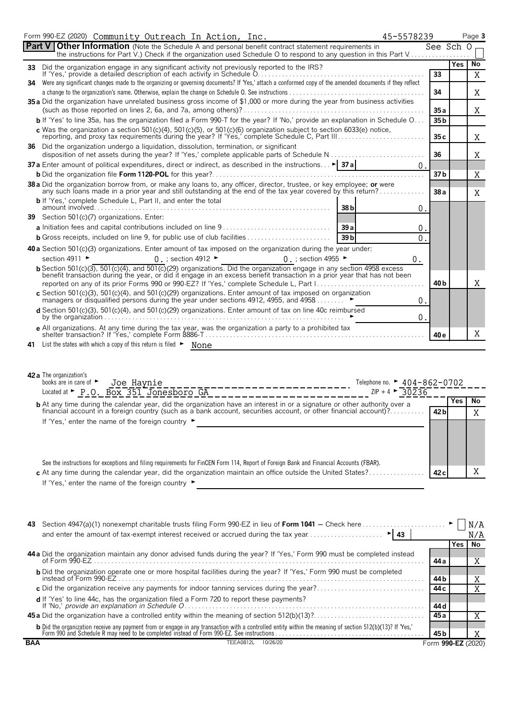| <b>Part V Other Information</b> (Note the Schedule A and personal benefit contract statement requirements in<br>See Sch 0<br>the instructions for Part V.) Check if the organization used Schedule O to respond to any question in this Part V<br>33 Did the organization engage in any significant activity not previously reported to the IRS?<br>33<br>Were any significant changes made to the organizing or governing documents? If Yes,' attach a conformed copy of the amended documents if they reflect<br>34<br>34<br>35 a Did the organization have unrelated business gross income of \$1,000 or more during the year from business activities<br>35a<br>b If 'Yes' to line 35a, has the organization filed a Form 990-T for the year? If 'No,' provide an explanation in Schedule O<br>35 <sub>b</sub><br>c Was the organization a section 501(c)(4), 501(c)(5), or 501(c)(6) organization subject to section 6033(e) notice,<br>35c<br>36 Did the organization undergo a liquidation, dissolution, termination, or significant<br>36<br><b>37a</b> Enter amount of political expenditures, direct or indirect, as described in the instructions. $\mathbf{R} \cdot \mathbf{S} = \mathbf{S}$<br>$\Omega$ .<br><b>b</b> Did the organization file Form 1120-POL for this year?<br>37 <sub>b</sub><br>38 a Did the organization borrow from, or make any loans to, any officer, director, trustee, or key employee; or were<br>any such loans made in a prior year and still outstanding at the end of the tax year covered by this return?<br>38a<br><b>b</b> If 'Yes,' complete Schedule L, Part II, and enter the total<br>38 <sub>b</sub><br>amount involved.<br>0.<br>39 Section 501(c)(7) organizations. Enter:<br>39a<br>0.<br>39 <sub>b</sub><br>$\overline{0}$ .<br><b>40 a</b> Section 501 $(c)(3)$ organizations. Enter amount of tax imposed on the organization during the year under: | Page 3      |
|---------------------------------------------------------------------------------------------------------------------------------------------------------------------------------------------------------------------------------------------------------------------------------------------------------------------------------------------------------------------------------------------------------------------------------------------------------------------------------------------------------------------------------------------------------------------------------------------------------------------------------------------------------------------------------------------------------------------------------------------------------------------------------------------------------------------------------------------------------------------------------------------------------------------------------------------------------------------------------------------------------------------------------------------------------------------------------------------------------------------------------------------------------------------------------------------------------------------------------------------------------------------------------------------------------------------------------------------------------------------------------------------------------------------------------------------------------------------------------------------------------------------------------------------------------------------------------------------------------------------------------------------------------------------------------------------------------------------------------------------------------------------------------------------------------------------------------------------------------------------------------------------------------------|-------------|
|                                                                                                                                                                                                                                                                                                                                                                                                                                                                                                                                                                                                                                                                                                                                                                                                                                                                                                                                                                                                                                                                                                                                                                                                                                                                                                                                                                                                                                                                                                                                                                                                                                                                                                                                                                                                                                                                                                               |             |
|                                                                                                                                                                                                                                                                                                                                                                                                                                                                                                                                                                                                                                                                                                                                                                                                                                                                                                                                                                                                                                                                                                                                                                                                                                                                                                                                                                                                                                                                                                                                                                                                                                                                                                                                                                                                                                                                                                               | Yes I<br>No |
|                                                                                                                                                                                                                                                                                                                                                                                                                                                                                                                                                                                                                                                                                                                                                                                                                                                                                                                                                                                                                                                                                                                                                                                                                                                                                                                                                                                                                                                                                                                                                                                                                                                                                                                                                                                                                                                                                                               | X           |
|                                                                                                                                                                                                                                                                                                                                                                                                                                                                                                                                                                                                                                                                                                                                                                                                                                                                                                                                                                                                                                                                                                                                                                                                                                                                                                                                                                                                                                                                                                                                                                                                                                                                                                                                                                                                                                                                                                               | X           |
|                                                                                                                                                                                                                                                                                                                                                                                                                                                                                                                                                                                                                                                                                                                                                                                                                                                                                                                                                                                                                                                                                                                                                                                                                                                                                                                                                                                                                                                                                                                                                                                                                                                                                                                                                                                                                                                                                                               | Χ           |
|                                                                                                                                                                                                                                                                                                                                                                                                                                                                                                                                                                                                                                                                                                                                                                                                                                                                                                                                                                                                                                                                                                                                                                                                                                                                                                                                                                                                                                                                                                                                                                                                                                                                                                                                                                                                                                                                                                               |             |
|                                                                                                                                                                                                                                                                                                                                                                                                                                                                                                                                                                                                                                                                                                                                                                                                                                                                                                                                                                                                                                                                                                                                                                                                                                                                                                                                                                                                                                                                                                                                                                                                                                                                                                                                                                                                                                                                                                               | X           |
|                                                                                                                                                                                                                                                                                                                                                                                                                                                                                                                                                                                                                                                                                                                                                                                                                                                                                                                                                                                                                                                                                                                                                                                                                                                                                                                                                                                                                                                                                                                                                                                                                                                                                                                                                                                                                                                                                                               | Χ           |
|                                                                                                                                                                                                                                                                                                                                                                                                                                                                                                                                                                                                                                                                                                                                                                                                                                                                                                                                                                                                                                                                                                                                                                                                                                                                                                                                                                                                                                                                                                                                                                                                                                                                                                                                                                                                                                                                                                               |             |
|                                                                                                                                                                                                                                                                                                                                                                                                                                                                                                                                                                                                                                                                                                                                                                                                                                                                                                                                                                                                                                                                                                                                                                                                                                                                                                                                                                                                                                                                                                                                                                                                                                                                                                                                                                                                                                                                                                               | X           |
|                                                                                                                                                                                                                                                                                                                                                                                                                                                                                                                                                                                                                                                                                                                                                                                                                                                                                                                                                                                                                                                                                                                                                                                                                                                                                                                                                                                                                                                                                                                                                                                                                                                                                                                                                                                                                                                                                                               | X           |
|                                                                                                                                                                                                                                                                                                                                                                                                                                                                                                                                                                                                                                                                                                                                                                                                                                                                                                                                                                                                                                                                                                                                                                                                                                                                                                                                                                                                                                                                                                                                                                                                                                                                                                                                                                                                                                                                                                               |             |
|                                                                                                                                                                                                                                                                                                                                                                                                                                                                                                                                                                                                                                                                                                                                                                                                                                                                                                                                                                                                                                                                                                                                                                                                                                                                                                                                                                                                                                                                                                                                                                                                                                                                                                                                                                                                                                                                                                               |             |
|                                                                                                                                                                                                                                                                                                                                                                                                                                                                                                                                                                                                                                                                                                                                                                                                                                                                                                                                                                                                                                                                                                                                                                                                                                                                                                                                                                                                                                                                                                                                                                                                                                                                                                                                                                                                                                                                                                               |             |
|                                                                                                                                                                                                                                                                                                                                                                                                                                                                                                                                                                                                                                                                                                                                                                                                                                                                                                                                                                                                                                                                                                                                                                                                                                                                                                                                                                                                                                                                                                                                                                                                                                                                                                                                                                                                                                                                                                               |             |
|                                                                                                                                                                                                                                                                                                                                                                                                                                                                                                                                                                                                                                                                                                                                                                                                                                                                                                                                                                                                                                                                                                                                                                                                                                                                                                                                                                                                                                                                                                                                                                                                                                                                                                                                                                                                                                                                                                               |             |
| section 4911 ►<br>0.; section 4912 $\blacktriangleright$<br>$0.$ ; section 4955 $\blacktriangleright$<br>0.                                                                                                                                                                                                                                                                                                                                                                                                                                                                                                                                                                                                                                                                                                                                                                                                                                                                                                                                                                                                                                                                                                                                                                                                                                                                                                                                                                                                                                                                                                                                                                                                                                                                                                                                                                                                   |             |
| <b>b</b> Section 501(c)(3), 501(c)(4), and 501(c)(29) organizations. Did the organization engage in any section 4958 excess                                                                                                                                                                                                                                                                                                                                                                                                                                                                                                                                                                                                                                                                                                                                                                                                                                                                                                                                                                                                                                                                                                                                                                                                                                                                                                                                                                                                                                                                                                                                                                                                                                                                                                                                                                                   |             |
| benefit transaction during the year, or did it engage in an excess benefit transaction in a prior year that has not been<br>40 <sub>b</sub><br>reported on any of its prior Forms 990 or 990-EZ? If 'Yes,' complete Schedule L, Part I                                                                                                                                                                                                                                                                                                                                                                                                                                                                                                                                                                                                                                                                                                                                                                                                                                                                                                                                                                                                                                                                                                                                                                                                                                                                                                                                                                                                                                                                                                                                                                                                                                                                        | X           |
| c Section 501(c)(3), 501(c)(4), and 501(c)(29) organizations. Enter amount of tax imposed on organization<br>managers or disqualified persons during the year under sections 4912, 4955, and 4958 ▶<br>$0$ .                                                                                                                                                                                                                                                                                                                                                                                                                                                                                                                                                                                                                                                                                                                                                                                                                                                                                                                                                                                                                                                                                                                                                                                                                                                                                                                                                                                                                                                                                                                                                                                                                                                                                                  |             |
| $d$ Section 501(c)(3), 501(c)(4), and 501(c)(29) organizations. Enter amount of tax on line 40c reimbursed<br>$\Omega$ .                                                                                                                                                                                                                                                                                                                                                                                                                                                                                                                                                                                                                                                                                                                                                                                                                                                                                                                                                                                                                                                                                                                                                                                                                                                                                                                                                                                                                                                                                                                                                                                                                                                                                                                                                                                      |             |
| e All organizations. At any time during the tax year, was the organization a party to a prohibited tax<br>40 <sub>e</sub>                                                                                                                                                                                                                                                                                                                                                                                                                                                                                                                                                                                                                                                                                                                                                                                                                                                                                                                                                                                                                                                                                                                                                                                                                                                                                                                                                                                                                                                                                                                                                                                                                                                                                                                                                                                     | X           |
| 41 List the states with which a copy of this return is filed • None                                                                                                                                                                                                                                                                                                                                                                                                                                                                                                                                                                                                                                                                                                                                                                                                                                                                                                                                                                                                                                                                                                                                                                                                                                                                                                                                                                                                                                                                                                                                                                                                                                                                                                                                                                                                                                           |             |

| <b>42 a</b> The organization's<br>books are in care of $\blacktriangleright$<br>Telephone no. $\blacktriangleright$ $404 - 862 - 0702$<br>Joe Haynie<br>$ZIP + 4$ > 30236<br>Located at ► P.O. Box 351 Jonesboro GA                                                                                                            |      |      |    |
|--------------------------------------------------------------------------------------------------------------------------------------------------------------------------------------------------------------------------------------------------------------------------------------------------------------------------------|------|------|----|
| <b>b</b> At any time during the calendar year, did the organization have an interest in or a signature or other authority over a                                                                                                                                                                                               |      | Yes. | No |
| financial account in a foreign country (such as a bank account, securities account, or other financial account)?                                                                                                                                                                                                               | 42 b |      | Χ  |
| If 'Yes,' enter the name of the foreign country $\blacktriangleright$<br>See the instructions for exceptions and filing requirements for FinCEN Form 114, Report of Foreign Bank and Financial Accounts (FBAR).<br>c At any time during the calendar year, did the organization maintain an office outside the United States?. | 42 c |      | Χ  |
| If 'Yes,' enter the name of the foreign country $\blacktriangleright$                                                                                                                                                                                                                                                          |      |      |    |

| 43         |                                                                                                                                                                                                                                        |                    |     | N/A |
|------------|----------------------------------------------------------------------------------------------------------------------------------------------------------------------------------------------------------------------------------------|--------------------|-----|-----|
|            |                                                                                                                                                                                                                                        |                    |     | N/A |
|            |                                                                                                                                                                                                                                        |                    | Yes | No  |
|            | 44 a Did the organization maintain any donor advised funds during the year? If 'Yes,' Form 990 must be completed instead<br>of Form $990-F7$                                                                                           | 44 a               |     |     |
|            | <b>b</b> Did the organization operate one or more hospital facilities during the year? If 'Yes,' Form 990 must be completed<br>instead of Form 990-EZ.                                                                                 | 44 b               |     | Χ   |
|            |                                                                                                                                                                                                                                        | 44 c               |     |     |
|            | d If 'Yes' to line 44c, has the organization filed a Form 720 to report these payments?<br>If 'No,' provide an explanation in Schedule O                                                                                               | 44 d               |     |     |
|            |                                                                                                                                                                                                                                        | 45 a               |     |     |
|            | <b>b</b> Did the organization receive any payment from or engage in any transaction with a controlled entity within the meaning of section 512(b)(13)? If Yes,'<br>Form 990 and Schedule R may need to be completed instead of Form 99 | 45 b               |     |     |
| <b>BAA</b> | 10/26/20<br>TEEA0812L                                                                                                                                                                                                                  | Form 990-EZ (2020) |     |     |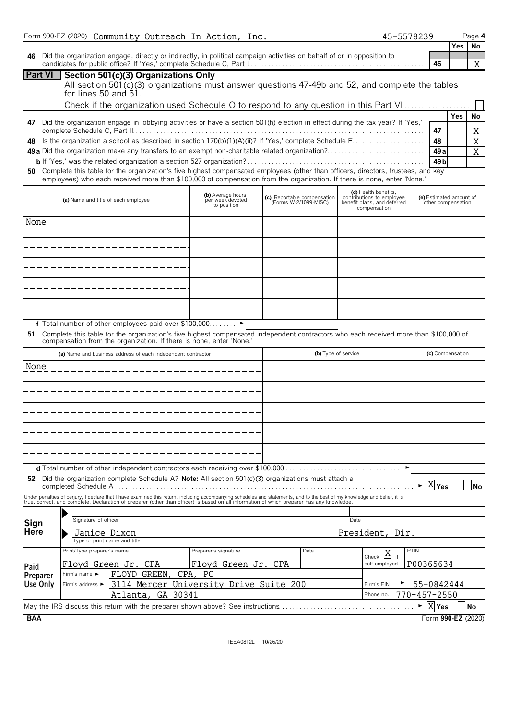|                                                       | Form 990-EZ (2020) Community Outreach In Action, Inc.                                                                                                                                                                                                       |                                                      |                                                      | 45-5578239                                                               |                                               | Yes.             | Page 4<br>No |
|-------------------------------------------------------|-------------------------------------------------------------------------------------------------------------------------------------------------------------------------------------------------------------------------------------------------------------|------------------------------------------------------|------------------------------------------------------|--------------------------------------------------------------------------|-----------------------------------------------|------------------|--------------|
| 46.                                                   | Did the organization engage, directly or indirectly, in political campaign activities on behalf of or in opposition to                                                                                                                                      |                                                      |                                                      |                                                                          |                                               |                  |              |
|                                                       |                                                                                                                                                                                                                                                             |                                                      |                                                      |                                                                          | 46                                            |                  | Χ            |
| Part VI                                               | Section 501(c)(3) Organizations Only<br>All section $501(c)(3)$ organizations must answer questions 47-49b and 52, and complete the tables<br>for lines 50 and $51.$                                                                                        |                                                      |                                                      |                                                                          |                                               |                  |              |
|                                                       | Check if the organization used Schedule O to respond to any question in this Part VI                                                                                                                                                                        |                                                      |                                                      |                                                                          |                                               |                  |              |
| 47                                                    | Did the organization engage in lobbying activities or have a section 501(h) election in effect during the tax year? If 'Yes,'                                                                                                                               |                                                      |                                                      |                                                                          |                                               | <b>Yes</b>       | No           |
| 48                                                    |                                                                                                                                                                                                                                                             |                                                      |                                                      |                                                                          | 47<br>48                                      |                  | Χ<br>X       |
|                                                       |                                                                                                                                                                                                                                                             |                                                      |                                                      |                                                                          | 49 a                                          |                  | X            |
|                                                       |                                                                                                                                                                                                                                                             |                                                      |                                                      |                                                                          | 49 <sub>b</sub>                               |                  |              |
| 50                                                    | Complete this table for the organization's five highest compensated employees (other than officers, directors, trustees, and key<br>employees) who each received more than \$100,000 of compensation from the organization. If there is none, enter 'None.' |                                                      |                                                      |                                                                          |                                               |                  |              |
|                                                       |                                                                                                                                                                                                                                                             |                                                      |                                                      | (d) Health benefits,                                                     |                                               |                  |              |
|                                                       | (a) Name and title of each employee                                                                                                                                                                                                                         | (b) Average hours<br>per week devoted<br>to position | (c) Reportable compensation<br>(Forms W-2/1099-MISC) | contributions to employee<br>benefit plans, and deferred<br>compensation | (e) Estimated amount of<br>other compensation |                  |              |
| None                                                  |                                                                                                                                                                                                                                                             |                                                      |                                                      |                                                                          |                                               |                  |              |
|                                                       |                                                                                                                                                                                                                                                             |                                                      |                                                      |                                                                          |                                               |                  |              |
|                                                       |                                                                                                                                                                                                                                                             |                                                      |                                                      |                                                                          |                                               |                  |              |
|                                                       |                                                                                                                                                                                                                                                             |                                                      |                                                      |                                                                          |                                               |                  |              |
|                                                       |                                                                                                                                                                                                                                                             |                                                      |                                                      |                                                                          |                                               |                  |              |
|                                                       |                                                                                                                                                                                                                                                             |                                                      |                                                      |                                                                          |                                               |                  |              |
|                                                       |                                                                                                                                                                                                                                                             |                                                      |                                                      |                                                                          |                                               |                  |              |
|                                                       | f Total number of other employees paid over \$100,000. ▶                                                                                                                                                                                                    |                                                      |                                                      |                                                                          |                                               |                  |              |
|                                                       | Complete this table for the organization's five highest compensated independent contractors who each received more than \$100,000 of                                                                                                                        |                                                      |                                                      |                                                                          |                                               |                  |              |
|                                                       | compensation from the organization. If there is none, enter 'None.'<br>(a) Name and business address of each independent contractor                                                                                                                         |                                                      |                                                      | (b) Type of service                                                      |                                               | (c) Compensation |              |
|                                                       |                                                                                                                                                                                                                                                             |                                                      |                                                      |                                                                          |                                               |                  |              |
|                                                       |                                                                                                                                                                                                                                                             |                                                      |                                                      |                                                                          |                                               |                  |              |
|                                                       |                                                                                                                                                                                                                                                             |                                                      |                                                      |                                                                          |                                               |                  |              |
|                                                       |                                                                                                                                                                                                                                                             |                                                      |                                                      |                                                                          |                                               |                  |              |
|                                                       |                                                                                                                                                                                                                                                             |                                                      |                                                      |                                                                          |                                               |                  |              |
|                                                       |                                                                                                                                                                                                                                                             |                                                      |                                                      |                                                                          |                                               |                  |              |
|                                                       |                                                                                                                                                                                                                                                             |                                                      |                                                      |                                                                          |                                               |                  |              |
|                                                       |                                                                                                                                                                                                                                                             |                                                      |                                                      |                                                                          |                                               |                  |              |
|                                                       |                                                                                                                                                                                                                                                             |                                                      |                                                      |                                                                          |                                               |                  |              |
|                                                       | 52 Did the organization complete Schedule A? Note: All section $501(c)(3)$ organizations must attach a                                                                                                                                                      |                                                      |                                                      |                                                                          | $\overline{X}$ Yes                            |                  |              |
|                                                       | Under penalties of perjury, I declare that I have examined this return, including accompanying schedules and statements, and to the best of my knowledge and belief, it is<br>true, correct, and complete. Declaration of prepare                           |                                                      |                                                      |                                                                          |                                               |                  |              |
|                                                       |                                                                                                                                                                                                                                                             |                                                      |                                                      |                                                                          |                                               |                  |              |
|                                                       | Signature of officer                                                                                                                                                                                                                                        |                                                      |                                                      | Date                                                                     |                                               |                  |              |
|                                                       | Janice Dixon<br>Type or print name and title                                                                                                                                                                                                                |                                                      |                                                      | President, Dir.                                                          |                                               |                  |              |
|                                                       | Print/Type preparer's name                                                                                                                                                                                                                                  | Preparer's signature                                 | Date                                                 |                                                                          | PTIN                                          |                  |              |
|                                                       | Floyd Green Jr. CPA                                                                                                                                                                                                                                         | Floyd Green Jr. CPA                                  |                                                      | X<br>Check<br>self-employed                                              | P00365634                                     |                  |              |
| 51<br>None<br>Sign<br><b>Here</b><br>Paid<br>Preparer | FLOYD GREEN,<br>Firm's name ►                                                                                                                                                                                                                               | CPA, PC                                              |                                                      |                                                                          |                                               |                  |              |
|                                                       | 3114 Mercer University Drive Suite 200<br>Firm's address ▶                                                                                                                                                                                                  |                                                      |                                                      | Firm's EIN                                                               | 55-0842444                                    |                  | <b>No</b>    |
| Use Only                                              | Atlanta, GA 30341<br>May the IRS discuss this return with the preparer shown above? See instructions                                                                                                                                                        |                                                      |                                                      | Phone no.                                                                | 770-457-2550<br>X Yes                         |                  |              |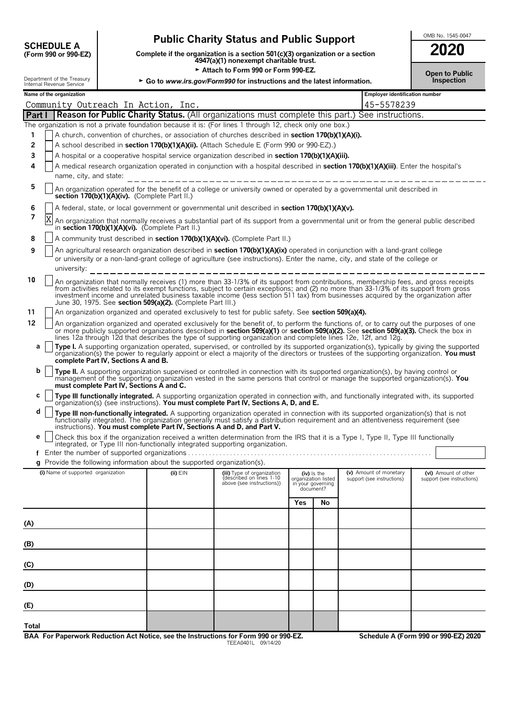# **CHEDULE A** Public Charity Status and Public Support<br>
(Form 990 or 990-EZ) Complete if the organization is a section 501(c)(3) organization or a section

**COMPOUT A**<br>(Form 990 or 990-EZ) **Complete if the organization is a section 501(c)(3) organization or a section<br>4947(a)(1) nonexempt charitable trust.** 

| ► Attach to Form 990 or Form 990-EZ.                                                                                               |                                                                                                                                                                            |                                    |                                          |                                                                                                           |  |                                                                                    |            | <b>Open to Public</b>                                                  |                                                                                                                                                                                                                                                                                                                                                                                                                    |                                                    |
|------------------------------------------------------------------------------------------------------------------------------------|----------------------------------------------------------------------------------------------------------------------------------------------------------------------------|------------------------------------|------------------------------------------|-----------------------------------------------------------------------------------------------------------|--|------------------------------------------------------------------------------------|------------|------------------------------------------------------------------------|--------------------------------------------------------------------------------------------------------------------------------------------------------------------------------------------------------------------------------------------------------------------------------------------------------------------------------------------------------------------------------------------------------------------|----------------------------------------------------|
| Department of the Treasury<br>Internal Revenue Service<br>► Go to www.irs.gov/Form990 for instructions and the latest information. |                                                                                                                                                                            |                                    |                                          |                                                                                                           |  |                                                                                    | Inspection |                                                                        |                                                                                                                                                                                                                                                                                                                                                                                                                    |                                                    |
| Name of the organization<br><b>Employer identification number</b>                                                                  |                                                                                                                                                                            |                                    |                                          |                                                                                                           |  |                                                                                    |            |                                                                        |                                                                                                                                                                                                                                                                                                                                                                                                                    |                                                    |
|                                                                                                                                    |                                                                                                                                                                            |                                    |                                          | Community Outreach In Action, Inc.                                                                        |  |                                                                                    |            |                                                                        | 45-5578239                                                                                                                                                                                                                                                                                                                                                                                                         |                                                    |
| Part I                                                                                                                             |                                                                                                                                                                            |                                    |                                          |                                                                                                           |  |                                                                                    |            |                                                                        | <b>Reason for Public Charity Status.</b> (All organizations must complete this part.) See instructions.                                                                                                                                                                                                                                                                                                            |                                                    |
|                                                                                                                                    |                                                                                                                                                                            |                                    |                                          | The organization is not a private foundation because it is: (For lines 1 through 12, check only one box.) |  |                                                                                    |            |                                                                        |                                                                                                                                                                                                                                                                                                                                                                                                                    |                                                    |
| 1                                                                                                                                  |                                                                                                                                                                            |                                    |                                          | A church, convention of churches, or association of churches described in <b>section 170(b)(1)(A)(i).</b> |  |                                                                                    |            |                                                                        |                                                                                                                                                                                                                                                                                                                                                                                                                    |                                                    |
| 2                                                                                                                                  |                                                                                                                                                                            |                                    |                                          | A school described in section 170(b)(1)(A)(ii). (Attach Schedule E (Form 990 or 990-EZ).)                 |  |                                                                                    |            |                                                                        |                                                                                                                                                                                                                                                                                                                                                                                                                    |                                                    |
| 3                                                                                                                                  |                                                                                                                                                                            |                                    |                                          | A hospital or a cooperative hospital service organization described in section 170(b)(1)(A)(iii).         |  |                                                                                    |            |                                                                        |                                                                                                                                                                                                                                                                                                                                                                                                                    |                                                    |
| 4                                                                                                                                  | A medical research organization operated in conjunction with a hospital described in section 170(b)(1)(A)(iii). Enter the hospital's                                       |                                    |                                          |                                                                                                           |  |                                                                                    |            |                                                                        |                                                                                                                                                                                                                                                                                                                                                                                                                    |                                                    |
|                                                                                                                                    | name, city, and state:                                                                                                                                                     |                                    |                                          |                                                                                                           |  |                                                                                    |            |                                                                        |                                                                                                                                                                                                                                                                                                                                                                                                                    |                                                    |
| 5                                                                                                                                  | An organization operated for the benefit of a college or university owned or operated by a governmental unit described in<br>section 170(b)(1)(A)(iv). (Complete Part II.) |                                    |                                          |                                                                                                           |  |                                                                                    |            |                                                                        |                                                                                                                                                                                                                                                                                                                                                                                                                    |                                                    |
| 6                                                                                                                                  |                                                                                                                                                                            |                                    |                                          | A federal, state, or local government or governmental unit described in section 170(b)(1)(A)(v).          |  |                                                                                    |            |                                                                        |                                                                                                                                                                                                                                                                                                                                                                                                                    |                                                    |
| 7                                                                                                                                  | Χ                                                                                                                                                                          |                                    |                                          | in section 170(b)(1)(A)(vi). (Complete Part II.)                                                          |  |                                                                                    |            |                                                                        | An organization that normally receives a substantial part of its support from a governmental unit or from the general public described                                                                                                                                                                                                                                                                             |                                                    |
| 8                                                                                                                                  |                                                                                                                                                                            |                                    |                                          | A community trust described in <b>section 170(b)(1)(A)(vi).</b> (Complete Part II.)                       |  |                                                                                    |            |                                                                        |                                                                                                                                                                                                                                                                                                                                                                                                                    |                                                    |
| 9                                                                                                                                  |                                                                                                                                                                            | university:                        |                                          |                                                                                                           |  |                                                                                    |            |                                                                        | An agricultural research organization described in <b>section 170(b)(1)(A)(ix)</b> operated in conjunction with a land-grant college<br>or university or a non-land-grant college of agriculture (see instructions). Enter the name, city, and state of the college or                                                                                                                                             |                                                    |
| 10                                                                                                                                 |                                                                                                                                                                            |                                    |                                          | June 30, 1975. See section 509(a)(2). (Complete Part III.)                                                |  |                                                                                    |            |                                                                        | An organization that normally receives (1) more than 33-1/3% of its support from contributions, membership fees, and gross receipts<br>from activities related to its exempt functions, subject to certain exceptions; and (2) no more than 33-1/3% of its support from gross<br>investment income and unrelated business taxable income (less section 511 tax) from businesses acquired by the organization after |                                                    |
| 11                                                                                                                                 |                                                                                                                                                                            |                                    |                                          | An organization organized and operated exclusively to test for public safety. See section 509(a)(4).      |  |                                                                                    |            |                                                                        |                                                                                                                                                                                                                                                                                                                                                                                                                    |                                                    |
| 12                                                                                                                                 |                                                                                                                                                                            |                                    |                                          |                                                                                                           |  |                                                                                    |            |                                                                        | An organization organized and operated exclusively for the benefit of, to perform the functions of, or to carry out the purposes of one<br>or more publicly supported organizations described in section 509(a)(1) or section 509(a)(2). See section 509(a)(3). Check the box in<br>lines 12a through 12d that describes the type of supporting organization and complete lines 12e, 12f, and 12g.                 |                                                    |
| a                                                                                                                                  |                                                                                                                                                                            |                                    | complete Part IV, Sections A and B.      |                                                                                                           |  |                                                                                    |            |                                                                        | Type I. A supporting organization operated, supervised, or controlled by its supported organization(s), typically by giving the supported organization(s) the power to regularly apport or elect a majority of the directors o                                                                                                                                                                                     |                                                    |
| b                                                                                                                                  |                                                                                                                                                                            |                                    |                                          |                                                                                                           |  |                                                                                    |            |                                                                        | Type II. A supporting organization supervised or controlled in connection with its supported organization(s), by having control or<br>management of the supporting organization vested in the same persons that control or manage the supported organization(s). You                                                                                                                                               |                                                    |
| c                                                                                                                                  |                                                                                                                                                                            |                                    | must complete Part IV, Sections A and C. | organization(s) (see instructions). You must complete Part IV, Sections A, D, and E.                      |  |                                                                                    |            |                                                                        | Type III functionally integrated. A supporting organization operated in connection with, and functionally integrated with, its supported                                                                                                                                                                                                                                                                           |                                                    |
| d                                                                                                                                  |                                                                                                                                                                            |                                    |                                          | instructions). You must complete Part IV, Sections A and D, and Part V.                                   |  |                                                                                    |            |                                                                        | Type III non-functionally integrated. A supporting organization operated in connection with its supported organization(s) that is not<br>functionally integrated. The organization generally must satisfy a distribution requirement and an attentiveness requirement (see                                                                                                                                         |                                                    |
| е                                                                                                                                  |                                                                                                                                                                            |                                    |                                          | integrated, or Type III non-functionally integrated supporting organization.                              |  |                                                                                    |            |                                                                        | Check this box if the organization received a written determination from the IRS that it is a Type I, Type II, Type III functionally                                                                                                                                                                                                                                                                               |                                                    |
|                                                                                                                                    |                                                                                                                                                                            |                                    |                                          | Enter the number of supported organizations                                                               |  |                                                                                    |            |                                                                        |                                                                                                                                                                                                                                                                                                                                                                                                                    |                                                    |
|                                                                                                                                    |                                                                                                                                                                            |                                    |                                          | g Provide the following information about the supported organization(s).                                  |  |                                                                                    |            |                                                                        |                                                                                                                                                                                                                                                                                                                                                                                                                    |                                                    |
|                                                                                                                                    |                                                                                                                                                                            | (i) Name of supported organization |                                          | $(ii)$ $EIN$                                                                                              |  | (iii) Type of organization<br>described on lines 1-10<br>above (see instructions)) |            | $(iv)$ is the<br>organization listed<br>in your governing<br>document? | (v) Amount of monetary<br>support (see instructions)                                                                                                                                                                                                                                                                                                                                                               | (vi) Amount of other<br>support (see instructions) |
|                                                                                                                                    |                                                                                                                                                                            |                                    |                                          |                                                                                                           |  |                                                                                    | Yes        | No                                                                     |                                                                                                                                                                                                                                                                                                                                                                                                                    |                                                    |
|                                                                                                                                    |                                                                                                                                                                            |                                    |                                          |                                                                                                           |  |                                                                                    |            |                                                                        |                                                                                                                                                                                                                                                                                                                                                                                                                    |                                                    |
| (A)                                                                                                                                |                                                                                                                                                                            |                                    |                                          |                                                                                                           |  |                                                                                    |            |                                                                        |                                                                                                                                                                                                                                                                                                                                                                                                                    |                                                    |
|                                                                                                                                    |                                                                                                                                                                            |                                    |                                          |                                                                                                           |  |                                                                                    |            |                                                                        |                                                                                                                                                                                                                                                                                                                                                                                                                    |                                                    |
| (B)                                                                                                                                |                                                                                                                                                                            |                                    |                                          |                                                                                                           |  |                                                                                    |            |                                                                        |                                                                                                                                                                                                                                                                                                                                                                                                                    |                                                    |
|                                                                                                                                    |                                                                                                                                                                            |                                    |                                          |                                                                                                           |  |                                                                                    |            |                                                                        |                                                                                                                                                                                                                                                                                                                                                                                                                    |                                                    |
| (C)                                                                                                                                |                                                                                                                                                                            |                                    |                                          |                                                                                                           |  |                                                                                    |            |                                                                        |                                                                                                                                                                                                                                                                                                                                                                                                                    |                                                    |
|                                                                                                                                    |                                                                                                                                                                            |                                    |                                          |                                                                                                           |  |                                                                                    |            |                                                                        |                                                                                                                                                                                                                                                                                                                                                                                                                    |                                                    |
| (D)                                                                                                                                |                                                                                                                                                                            |                                    |                                          |                                                                                                           |  |                                                                                    |            |                                                                        |                                                                                                                                                                                                                                                                                                                                                                                                                    |                                                    |
| (E)                                                                                                                                |                                                                                                                                                                            |                                    |                                          |                                                                                                           |  |                                                                                    |            |                                                                        |                                                                                                                                                                                                                                                                                                                                                                                                                    |                                                    |
| <b>Total</b>                                                                                                                       |                                                                                                                                                                            |                                    |                                          |                                                                                                           |  |                                                                                    |            |                                                                        |                                                                                                                                                                                                                                                                                                                                                                                                                    |                                                    |
|                                                                                                                                    |                                                                                                                                                                            |                                    |                                          | BAA For Paperwork Reduction Act Notice, see the Instructions for Form 990 or 990-EZ.                      |  | TEEA0401L 09/14/20                                                                 |            |                                                                        |                                                                                                                                                                                                                                                                                                                                                                                                                    | Schedule A (Form 990 or 990-EZ) 2020               |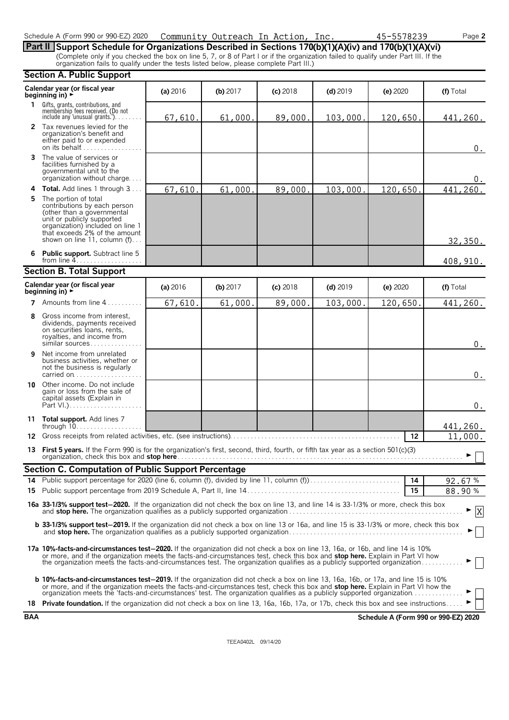| A (Form 990 or 990-EZ)<br>2020<br>Schedule | Jommunitv | Outreach | $\bot$ n | Action, | $\mathop{\text{Inc}}$ | 578239<br>. | 3000<br>-aue . |
|--------------------------------------------|-----------|----------|----------|---------|-----------------------|-------------|----------------|
|                                            |           |          |          |         |                       |             |                |

 $\overline{a}$ 

**Part II Support Schedule for Organizations Described in Sections 170(b)(1)(A)(iv) and 170(b)(1)(A)(vi)** (Complete only if you checked the box on line 5, 7, or 8 of Part I or if the organization failed to qualify under Part III. If the organization fails to qualify under the tests listed below, please complete Part III.)

|                                                     | <b>Section A. Public Support</b>                                                                                                                                                                                                                                                                                                                                           |          |            |            |            |                                      |           |  |  |
|-----------------------------------------------------|----------------------------------------------------------------------------------------------------------------------------------------------------------------------------------------------------------------------------------------------------------------------------------------------------------------------------------------------------------------------------|----------|------------|------------|------------|--------------------------------------|-----------|--|--|
|                                                     | Calendar year (or fiscal year<br>beginning in) $\rightarrow$                                                                                                                                                                                                                                                                                                               | (a) 2016 | (b) $2017$ | $(c)$ 2018 | $(d)$ 2019 | (e) 2020                             | (f) Total |  |  |
| 1                                                   | Gifts, grants, contributions, and<br>membership fees received. (Do not<br>include any 'unusual grants.')                                                                                                                                                                                                                                                                   | 67,610.  | 61,000.    | 89,000.    | 103,000.   | 120,650.                             | 441,260.  |  |  |
|                                                     | 2 Tax revenues levied for the<br>organization's benefit and<br>either paid to or expended<br>on its behalf                                                                                                                                                                                                                                                                 |          |            |            |            |                                      | $0$ .     |  |  |
| 3                                                   | The value of services or<br>facilities furnished by a<br>governmental unit to the<br>organization without charge                                                                                                                                                                                                                                                           |          |            |            |            |                                      | 0.        |  |  |
| 4                                                   | Total. Add lines 1 through 3                                                                                                                                                                                                                                                                                                                                               | 67,610.  | 61,000     | 89,000     | 103,000.   | 120,650.                             | 441,260.  |  |  |
| 5                                                   | The portion of total<br>contributions by each person<br>(other than a governmental<br>unit or publicly supported<br>organization) included on line 1<br>that exceeds 2% of the amount<br>shown on line 11, column (f)                                                                                                                                                      |          |            |            |            |                                      | 32,350.   |  |  |
| 6                                                   | <b>Public support.</b> Subtract line 5                                                                                                                                                                                                                                                                                                                                     |          |            |            |            |                                      | 408,910.  |  |  |
|                                                     | <b>Section B. Total Support</b>                                                                                                                                                                                                                                                                                                                                            |          |            |            |            |                                      |           |  |  |
|                                                     | Calendar year (or fiscal year<br>beginning in) $\blacktriangleright$                                                                                                                                                                                                                                                                                                       | (a) 2016 | (b) $2017$ | $(c)$ 2018 | $(d)$ 2019 | (e) 2020                             | (f) Total |  |  |
|                                                     | <b>7</b> Amounts from line $4 \ldots \ldots$                                                                                                                                                                                                                                                                                                                               | 67,610.  | 61,000.    | 89,000.    | 103,000.   | 120,650.                             | 441,260.  |  |  |
| 8                                                   | Gross income from interest.<br>dividends, payments received<br>on securities loans, rents,<br>royalties, and income from<br>similar sources                                                                                                                                                                                                                                |          |            |            |            |                                      | $0$ .     |  |  |
| 9                                                   | Net income from unrelated<br>business activities, whether or<br>not the business is regularly<br>carried on                                                                                                                                                                                                                                                                |          |            |            |            |                                      | 0.        |  |  |
|                                                     | 10 Other income. Do not include<br>gain or loss from the sale of<br>capital assets (Explain in                                                                                                                                                                                                                                                                             |          |            |            |            |                                      | $0$ .     |  |  |
|                                                     | 11 Total support. Add lines 7<br>through $10.00000$                                                                                                                                                                                                                                                                                                                        |          |            |            |            |                                      | 441,260.  |  |  |
| 12                                                  |                                                                                                                                                                                                                                                                                                                                                                            |          |            |            |            | 12                                   | 11,000.   |  |  |
|                                                     | 13 First 5 years. If the Form 990 is for the organization's first, second, third, fourth, or fifth tax year as a section 501(c)(3)                                                                                                                                                                                                                                         |          |            |            |            |                                      |           |  |  |
| Section C. Computation of Public Support Percentage |                                                                                                                                                                                                                                                                                                                                                                            |          |            |            |            |                                      |           |  |  |
|                                                     |                                                                                                                                                                                                                                                                                                                                                                            |          |            |            |            |                                      | 92.67%    |  |  |
| 15                                                  |                                                                                                                                                                                                                                                                                                                                                                            |          |            |            |            | 15                                   | 88.90%    |  |  |
|                                                     | 16a 33-1/3% support test-2020. If the organization did not check the box on line 13, and line 14 is 33-1/3% or more, check this box<br>X                                                                                                                                                                                                                                   |          |            |            |            |                                      |           |  |  |
|                                                     | <b>b 33-1/3% support test-2019.</b> If the organization did not check a box on line 13 or 16a, and line 15 is 33-1/3% or more, check this box                                                                                                                                                                                                                              |          |            |            |            |                                      |           |  |  |
|                                                     | 17a 10%-facts-and-circumstances test-2020. If the organization did not check a box on line 13, 16a, or 16b, and line 14 is 10%<br>or more, and if the organization meets the facts-and-circumstances test, check this box and <b>stop here.</b> Explain in Part VI how the organization meets the facts-and-circumstances test. The organization qualifies as a publi      |          |            |            |            |                                      |           |  |  |
|                                                     | <b>b 10%-facts-and-circumstances test-2019.</b> If the organization did not check a box on line 13, 16a, 16b, or 17a, and line 15 is 10%<br>or more, and if the organization meets the facts-and-circumstances test, check this box and stop here. Explain in Part VI how the organization meets the 'facts-and-circumstances' test. The organization qualifies as a publi |          |            |            |            |                                      |           |  |  |
|                                                     | 18 Private foundation. If the organization did not check a box on line 13, 16a, 16b, 17a, or 17b, check this box and see instructions                                                                                                                                                                                                                                      |          |            |            |            |                                      |           |  |  |
| <b>BAA</b>                                          |                                                                                                                                                                                                                                                                                                                                                                            |          |            |            |            | Schedule A (Form 990 or 990-EZ) 2020 |           |  |  |

TEEA0402L 09/14/20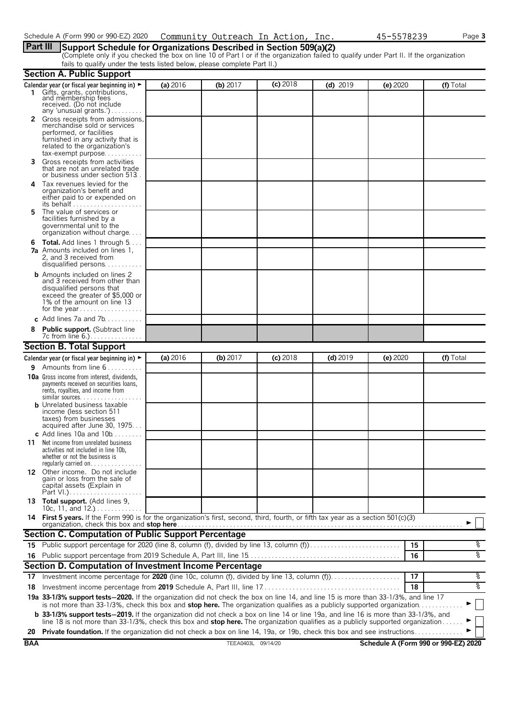| Schedule A (Form 990 or 990-EZ) 2020 |  |  | Community Outreach In Action, | $\verb+inc+$ | 45-5578239 | Page 5 |
|--------------------------------------|--|--|-------------------------------|--------------|------------|--------|
|--------------------------------------|--|--|-------------------------------|--------------|------------|--------|

| Part III Support Schedule for Organizations Described in Section 509(a)(2)                                                             |
|----------------------------------------------------------------------------------------------------------------------------------------|
| (Complete only if you checked the box on line 10 of Part I or if the organization failed to qualify under Part II. If the organization |
| fails to qualify under the tests listed below, please complete Part II.)                                                               |

|              | <b>Section A. Public Support</b>                                                                                                                                                                                                                                               |          |                    |            |            |          |    |                                      |    |
|--------------|--------------------------------------------------------------------------------------------------------------------------------------------------------------------------------------------------------------------------------------------------------------------------------|----------|--------------------|------------|------------|----------|----|--------------------------------------|----|
| $\mathbf{1}$ | Calendar year (or fiscal year beginning in) $\blacktriangleright$<br>Gifts, grants, contributions,<br>and membership fees                                                                                                                                                      | (a) 2016 | (b) $2017$         | $(c)$ 2018 | $(d)$ 2019 | (e) 2020 |    | (f) Total                            |    |
|              | received. (Do not include<br>any 'unusual grants.')                                                                                                                                                                                                                            |          |                    |            |            |          |    |                                      |    |
|              | 2 Gross receipts from admissions,<br>merchandise sold or services<br>performed, or facilities<br>furnished in any activity that is<br>related to the organization's                                                                                                            |          |                    |            |            |          |    |                                      |    |
| 3.           | $tax\text{-}exempt$ purpose<br>Gross receipts from activities<br>that are not an unrelated trade                                                                                                                                                                               |          |                    |            |            |          |    |                                      |    |
| 4            | or business under section 513.<br>Tax revenues levied for the                                                                                                                                                                                                                  |          |                    |            |            |          |    |                                      |    |
|              | organization's benefit and<br>either paid to or expended on<br>its behalf                                                                                                                                                                                                      |          |                    |            |            |          |    |                                      |    |
| 5.           | The value of services or<br>facilities furnished by a<br>governmental unit to the<br>organization without charge                                                                                                                                                               |          |                    |            |            |          |    |                                      |    |
|              | <b>6 Total.</b> Add lines 1 through 5<br><b>7a</b> Amounts included on lines 1,<br>2. and 3 received from<br>disqualified persons                                                                                                                                              |          |                    |            |            |          |    |                                      |    |
|              | <b>b</b> Amounts included on lines 2<br>and 3 received from other than<br>disqualified persons that<br>exceed the greater of \$5,000 or<br>1% of the amount on line 13<br>for the year                                                                                         |          |                    |            |            |          |    |                                      |    |
|              | c Add lines 7a and 7b                                                                                                                                                                                                                                                          |          |                    |            |            |          |    |                                      |    |
|              | <b>Public support.</b> (Subtract line<br>7c from line 6.).                                                                                                                                                                                                                     |          |                    |            |            |          |    |                                      |    |
|              | <b>Section B. Total Support</b>                                                                                                                                                                                                                                                |          |                    |            |            |          |    |                                      |    |
|              | Calendar year (or fiscal year beginning in) $\blacktriangleright$                                                                                                                                                                                                              | (a) 2016 | $(b)$ 2017         | $(c)$ 2018 | $(d)$ 2019 | (e) 2020 |    | (f) Total                            |    |
|              | <b>9</b> Amounts from line $6 \ldots \ldots$                                                                                                                                                                                                                                   |          |                    |            |            |          |    |                                      |    |
|              | 10a Gross income from interest, dividends,<br>payments received on securities loans,<br>rents, royalties, and income from<br>similar sources.                                                                                                                                  |          |                    |            |            |          |    |                                      |    |
|              | <b>b</b> Unrelated business taxable<br>income (less section 511<br>taxes) from businesses<br>acquired after June 30, 1975                                                                                                                                                      |          |                    |            |            |          |    |                                      |    |
|              | c Add lines 10a and $10b$<br>11 Net income from unrelated business<br>activities not included in line 10b,<br>whether or not the business is                                                                                                                                   |          |                    |            |            |          |    |                                      |    |
|              | 12 Other income. Do not include<br>gain or loss from the sale of<br>capital assets (Explain in                                                                                                                                                                                 |          |                    |            |            |          |    |                                      |    |
|              | 13 Total support. (Add lines 9,<br>10c, 11, and 12.)                                                                                                                                                                                                                           |          |                    |            |            |          |    |                                      |    |
|              | 14 First 5 years. If the Form 990 is for the organization's first, second, third, fourth, or fifth tax year as a section 501(c)(3)<br>organization, check this box and <b>stop here</b>                                                                                        |          |                    |            |            |          |    |                                      |    |
|              | <b>Section C. Computation of Public Support Percentage</b>                                                                                                                                                                                                                     |          |                    |            |            |          |    |                                      |    |
| 15           | Public support percentage for 2020 (line 8, column (f), divided by line 13, column (f))                                                                                                                                                                                        |          |                    |            |            |          | 15 |                                      | န့ |
| 16           |                                                                                                                                                                                                                                                                                |          |                    |            |            |          | 16 |                                      | ४  |
|              | Section D. Computation of Investment Income Percentage                                                                                                                                                                                                                         |          |                    |            |            |          |    |                                      |    |
| 17           | Investment income percentage for 2020 (line 10c, column (f), divided by line 13, column (f)                                                                                                                                                                                    |          |                    |            |            |          | 17 | နွ                                   |    |
| 18           |                                                                                                                                                                                                                                                                                |          |                    |            |            |          | 18 | ४                                    |    |
|              | 19a 33-1/3% support tests-2020. If the organization did not check the box on line 14, and line 15 is more than 33-1/3%, and line 17<br>is not more than 33-1/3%, check this box and stop here. The organization qualifies as a publicly supported organization $\ldots \ldots$ |          |                    |            |            |          |    |                                      |    |
|              | <b>b</b> 33-1/3% support tests-2019. If the organization did not check a box on line 14 or line 19a, and line 16 is more than 33-1/3%, and<br>line 18 is not more than 33-1/3%, check this box and stop here. The organization qualifies as a publicly supported organization  |          |                    |            |            |          |    |                                      |    |
| 20           | Private foundation. If the organization did not check a box on line 14, 19a, or 19b, check this box and see instructions                                                                                                                                                       |          |                    |            |            |          |    |                                      |    |
| <b>BAA</b>   |                                                                                                                                                                                                                                                                                |          | TEEA0403L 09/14/20 |            |            |          |    | Schedule A (Form 990 or 990-EZ) 2020 |    |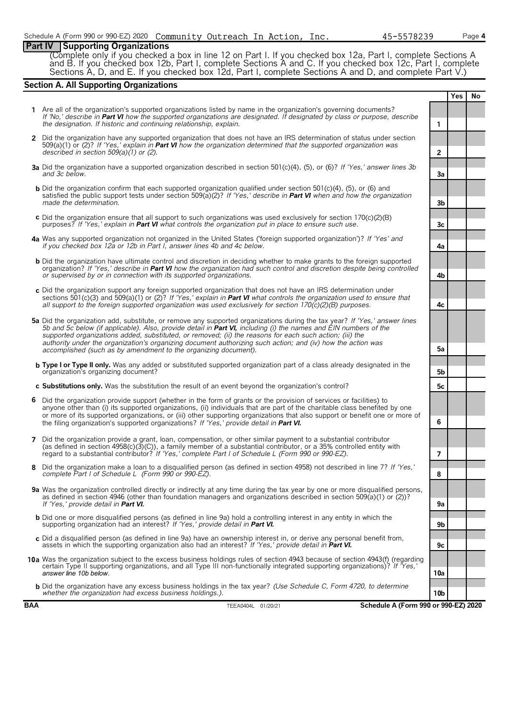(Complete only if you checked a box in line 12 on Part I. If you checked box 12a, Part I, complete Sections A and B. If you checked box 12b, Part I, complete Sections A and C. If you checked box 12c, Part I, complete Sections A, D, and E. If you checked box 12d, Part I, complete Sections A and D, and complete Part V.)

# **Section A. All Supporting Organizations**

**Yes No 1** Are all of the organization's supported organizations listed by name in the organization's governing documents? *If 'No,' describe in Part VI how the supported organizations are designated. If designated by class or purpose, describe the designation. If historic and continuing relationship, explain.* **1 2** Did the organization have any supported organization that does not have an IRS determination of status under section 509(a)(1) or (2)? *If 'Yes,' explain in Part VI how the organization determined that the supported organization was described in section 509(a)(1) or (2)*. **2 3a** Did the organization have a supported organization described in section 501(c)(4), (5), or (6)? *If 'Yes,' answer lines 3b and 3c below.* **3a b** Did the organization confirm that each supported organization qualified under section 501(c)(4), (5), or (6) and satisfied the public support tests under section 509(a)(2)? *If 'Yes,' describe in Part VI when and how the organization made the determination*. **3b c** Did the organization ensure that all support to such organizations was used exclusively for section 170(c)(2)(B) purposes? *If 'Yes,' explain in Part VI what controls the organization put in place to ensure such use. 3c 3c* **4a** Was any supported organization not organized in the United States ('foreign supported organization')? *If 'Yes' and if you checked box 12a or 12b in Part I, answer lines 4b and 4c below.* **4a b** Did the organization have ultimate control and discretion in deciding whether to make grants to the foreign supported organization? *If 'Yes,' describe in Part VI how the organization had such control and discretion despite being controlled or supervised by or in connection with its supported organizations*. **4b c** Did the organization support any foreign supported organization that does not have an IRS determination under sections 501(c)(3) and 509(a)(1) or (2)? *If 'Yes,' explain in Part VI what controls the organization used to ensure that all support to the foreign supported organization was used exclusively for section 170(c)(2)(B) purposes.* **4c 5a** Did the organization add, substitute, or remove any supported organizations during the tax year? *If 'Yes,' answer lines 5b and 5c below (if applicable). Also, provide detail in Part VI, including (i) the names and EIN numbers of the supported organizations added, substituted, or removed; (ii) the reasons for each such action; (iii) the authority under the organization's organizing document authorizing such action; and (iv) how the action was accomplished (such as by amendment to the organizing document)*. **5a b Type I or Type II only.** Was any added or substituted supported organization part of a class already designated in the organization's organizing document? **5b c Substitutions only.** Was the substitution the result of an event beyond the organization's control? **5c 6** Did the organization provide support (whether in the form of grants or the provision of services or facilities) to anyone other than (i) its supported organizations, (ii) individuals that are part of the charitable class benefited by one or more of its supported organizations, or (iii) other supporting organizations that also support or benefit one or more of the filing organization's supported organizations? *If 'Yes,' provide detail in Part VI.* **6 7** Did the organization provide a grant, loan, compensation, or other similar payment to a substantial contributor (as defined in section 4958(c)(3)(C)), a family member of a substantial contributor, or a 35% controlled entity with regard to a substantial contributor? *If 'Yes,' complete Part I of Schedule L (Form 990 or 990-EZ)*. **7 8** Did the organization make a loan to a disqualified person (as defined in section 4958) not described in line 7? *If 'Yes,' complete Part I of Schedule L (Form 990 or 990-EZ).* **8 9a** Was the organization controlled directly or indirectly at any time during the tax year by one or more disqualified persons, as defined in section 4946 (other than foundation managers and organizations described in section 509(a)(1) or (2))? *If 'Yes,' provide detail in Part VI.* **9a b** Did one or more disqualified persons (as defined in line 9a) hold a controlling interest in any entity in which the<br>supporting organization had an interest? If 'Yes,' provide detail in **Part VI.** c Did a disqualified person (as defined in line 9a) have an ownership interest in, or derive any personal benefit from,<br>assets in which the supporting organization also had an interest? If 'Yes,' provide detail in Part VI. 10a Was the organization subject to the excess business holdings rules of section 4943 because of section 4943(f) (regarding<br>Certain Type II supporting organizations, and all Type III non-functionally integrated supporting *answer line 10b below.* **10a b** Did the organization have any excess business holdings in the tax year? *(Use Schedule C, Form 4720, to determine* whether the organization had excess business holdings.). **BAA** TEEA0404L 01/20/21 **Schedule A (Form 990 or 990-EZ) 2020**

**Part IV Supporting Organizations**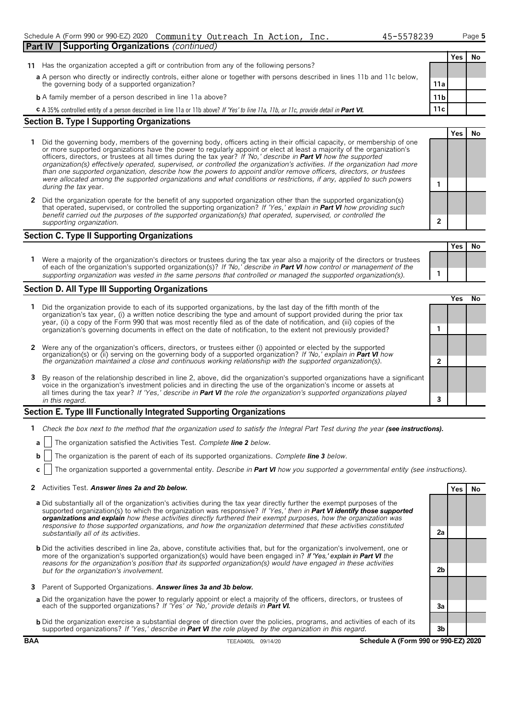| Schedule A (Form 990 or 990-EZ) 2020 |  |  |  | Community Outreach In Action, | Inc. | 45-5578239 | Page 5 |
|--------------------------------------|--|--|--|-------------------------------|------|------------|--------|
|                                      |  |  |  |                               |      |            |        |

|  | <b>Part IV</b> Supporting Organizations (continued) |  |
|--|-----------------------------------------------------|--|
|  |                                                     |  |

- **11** Has the organization accepted a gift or contribution from any of the following persons?
	- **a** A person who directly or indirectly controls, either alone or together with persons described in lines 11b and 11c below, the governing body of a supported organization? **11a**
	- **b** A family member of a person described in line 11a above?

**c** A 35% controlled entity of a person described in line 11a or 11b above? *If 'Yes' to line 11a, 11b, or 11c, provide detail in Part VI.* **11c**

# **Section B. Type I Supporting Organizations**

- **1** Did the governing body, members of the governing body, officers acting in their official capacity, or membership of one or more supported organizations have the power to regularly appoint or elect at least a majority of the organization's officers, directors, or trustees at all times during the tax year? *If 'No,' describe in Part VI how the supported organization(s) effectively operated, supervised, or controlled the organization's activities. If the organization had more than one supported organization, describe how the powers to appoint and/or remove officers, directors, or trustees were allocated among the supported organizations and what conditions or restrictions, if any, applied to such powers* **<sup>1</sup>** *during the tax* year.
- **2** Did the organization operate for the benefit of any supported organization other than the supported organization(s) that operated, supervised, or controlled the supporting organization? *If 'Yes,' explain in Part VI how providing such benefit carried out the purposes of the supported organization(s) that operated, supervised, or controlled the supporting organization.* **2**

### **Section C. Type II Supporting Organizations**

**1** Were a majority of the organization's directors or trustees during the tax year also a majority of the directors or trustees of each of the organization's supported organization(s)? *If 'No,' describe in Part VI how control or management of the supporting organization was vested in the same persons that controlled or managed the supported organization(s).* **1**

# **Section D. All Type III Supporting Organizations**

- **1** Did the organization provide to each of its supported organizations, by the last day of the fifth month of the organization's tax year, (i) a written notice describing the type and amount of support provided during the prior tax year, (ii) a copy of the Form 990 that was most recently filed as of the date of notification, and (iii) copies of the organization's governing documents in effect on the date of notification, to the extent not previously provided? **1**
- **2** Were any of the organization's officers, directors, or trustees either (i) appointed or elected by the supported organization(s) or (ii) serving on the governing body of a supported organization? If 'No,' explain in **Part VI** how<br>the organization maintained a close and continuous working relationship with the supported organization(s
- **3** By reason of the relationship described in line 2, above, did the organization's supported organizations have a significant voice in the organization's investment policies and in directing the use of the organization's income or assets at all times during the tax year? *If 'Yes,' describe in Part VI the role the organization's supported organizations played in this regard.* **3**

### **Section E. Type III Functionally Integrated Supporting Organizations**

- **1** *Check the box next to the method that the organization used to satisfy the Integral Part Test during the year (see instructions).* 
	- **a** The organization satisfied the Activities Test. *Complete line 2 below.*
	- **b** The organization is the parent of each of its supported organizations. *Complete line 3 below.*
	- **c** The organization supported a governmental entity. *Describe in Part VI how you supported a governmental entity (see instructions).*

## **2** Activities Test. *Answer lines 2a and 2b below.* **Yes No**

- **a** Did substantially all of the organization's activities during the tax year directly further the exempt purposes of the supported organization(s) to which the organization was responsive? *If 'Yes,' then in Part VI identify those supported organizations and explain how these activities directly furthered their exempt purposes, how the organization was responsive to those supported organizations, and how the organization determined that these activities constituted substantially all of its activities.* **2a**
- **b** Did the activities described in line 2a, above, constitute activities that, but for the organization's involvement, one or more of the organization's supported organization(s) would have been engaged in? *If 'Yes,' explain in Part VI the reasons for the organization's position that its supported organization(s) would have engaged in these activities but for the organization's involvement.* **2b**
- **3** Parent of Supported Organizations. *Answer lines 3a and 3b below.*
- a Did the organization have the power to regularly appoint or elect a majority of the officers, directors, or trustees of<br>each of the supported organizations? If 'Yes' or 'No,' provide details in Part VI.
- **b** Did the organization exercise a substantial degree of direction over the policies, programs, and activities of each of its supported organizations? *If 'Yes,' describe in Part VI the role played by the organization in this regard.* **3b**



**Yes No**

|      |              | Yes No |  |
|------|--------------|--------|--|
|      |              |        |  |
|      |              |        |  |
|      | 1            |        |  |
|      |              |        |  |
|      |              |        |  |
|      | $\mathbf{2}$ |        |  |
|      |              |        |  |
| cant |              |        |  |
|      |              |        |  |
|      | 3            |        |  |
|      |              |        |  |

|                 | Yes | No |
|-----------------|-----|----|
|                 |     |    |
| 11a             |     |    |
|                 |     |    |
| 11 <sub>b</sub> |     |    |
| 11 c            |     |    |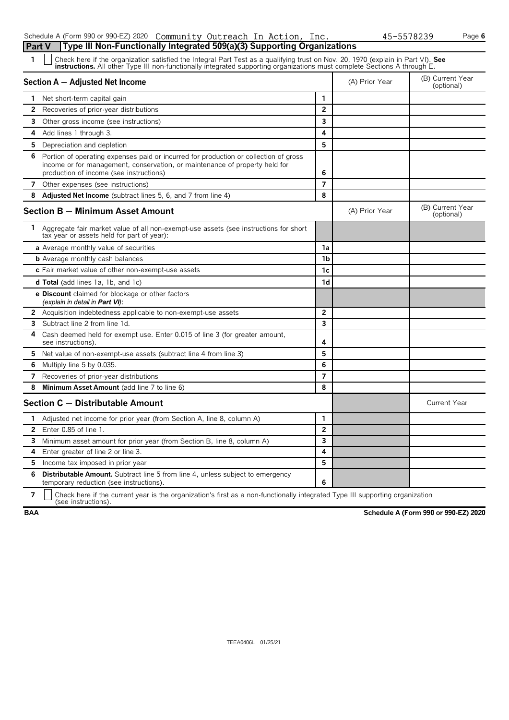| Schedule A (Form 990 or 990-EZ) 2020 Community Outreach In Action, Inc.                         |  |  | 45-5578239 | Page 6 |
|-------------------------------------------------------------------------------------------------|--|--|------------|--------|
| <b>Type III Non-Functionally Integrated 509(a)(3) Supporting Organizations</b><br><b>Part V</b> |  |  |            |        |

1 | Check here if the organization satisfied the Integral Part Test as a qualifying trust on Nov. 20, 1970 (explain in Part Ⅵ). See instructions. All other Type III non-functionally integrated supporting organizations mus

|              | Section A - Adjusted Net Income                                                                                                                                                                                |                | (A) Prior Year | (B) Current Year<br>(optional) |
|--------------|----------------------------------------------------------------------------------------------------------------------------------------------------------------------------------------------------------------|----------------|----------------|--------------------------------|
| 1.           | Net short-term capital gain                                                                                                                                                                                    | $\mathbf{1}$   |                |                                |
| 2            | Recoveries of prior-year distributions                                                                                                                                                                         | $\overline{2}$ |                |                                |
| 3.           | Other gross income (see instructions)                                                                                                                                                                          | 3              |                |                                |
| 4            | Add lines 1 through 3.                                                                                                                                                                                         | 4              |                |                                |
|              | <b>5</b> Depreciation and depletion                                                                                                                                                                            | 5              |                |                                |
| 6            | Portion of operating expenses paid or incurred for production or collection of gross<br>income or for management, conservation, or maintenance of property held for<br>production of income (see instructions) | 6              |                |                                |
|              | 7 Other expenses (see instructions)                                                                                                                                                                            | $\overline{7}$ |                |                                |
| 8            | Adjusted Net Income (subtract lines 5, 6, and 7 from line 4)                                                                                                                                                   | 8              |                |                                |
|              | Section B - Minimum Asset Amount                                                                                                                                                                               |                | (A) Prior Year | (B) Current Year<br>(optional) |
| 1.           | Aggregate fair market value of all non-exempt-use assets (see instructions for short<br>tax year or assets held for part of year):                                                                             |                |                |                                |
|              | a Average monthly value of securities                                                                                                                                                                          | 1a             |                |                                |
|              | <b>b</b> Average monthly cash balances                                                                                                                                                                         | 1 <sub>b</sub> |                |                                |
|              | c Fair market value of other non-exempt-use assets                                                                                                                                                             | 1c             |                |                                |
|              | <b>d Total</b> (add lines 1a, 1b, and 1c)                                                                                                                                                                      | 1d             |                |                                |
|              | <b>e Discount</b> claimed for blockage or other factors<br>(explain in detail in <b>Part VI</b> ):                                                                                                             |                |                |                                |
|              | <b>2</b> Acquisition indebtedness applicable to non-exempt-use assets                                                                                                                                          | $\overline{2}$ |                |                                |
| 3            | Subtract line 2 from line 1d.                                                                                                                                                                                  | 3              |                |                                |
| 4            | Cash deemed held for exempt use. Enter 0.015 of line 3 (for greater amount,<br>see instructions).                                                                                                              | 4              |                |                                |
| 5            | Net value of non-exempt-use assets (subtract line 4 from line 3)                                                                                                                                               | 5              |                |                                |
| 6            | Multiply line 5 by 0.035.                                                                                                                                                                                      | 6              |                |                                |
| 7            | Recoveries of prior-year distributions                                                                                                                                                                         | 7              |                |                                |
| 8            | Minimum Asset Amount (add line 7 to line 6)                                                                                                                                                                    | 8              |                |                                |
|              | Section C - Distributable Amount                                                                                                                                                                               |                |                | <b>Current Year</b>            |
| 1.           | Adjusted net income for prior year (from Section A, line 8, column A)                                                                                                                                          | $\mathbf{1}$   |                |                                |
| $\mathbf{2}$ | Enter 0.85 of line 1.                                                                                                                                                                                          | $\overline{2}$ |                |                                |
| 3            | Minimum asset amount for prior year (from Section B, line 8, column A)                                                                                                                                         | 3              |                |                                |
|              | 4 Enter greater of line 2 or line 3.                                                                                                                                                                           | 4              |                |                                |
| 5.           | Income tax imposed in prior year                                                                                                                                                                               | 5              |                |                                |
| 6            | <b>Distributable Amount.</b> Subtract line 5 from line 4, unless subject to emergency<br>temporary reduction (see instructions).                                                                               | 6              |                |                                |

**7**  $\Box$  Check here if the current year is the organization's first as a non-functionally integrated Type III supporting organization (see instructions).

**BAA Schedule A (Form 990 or 990-EZ) 2020**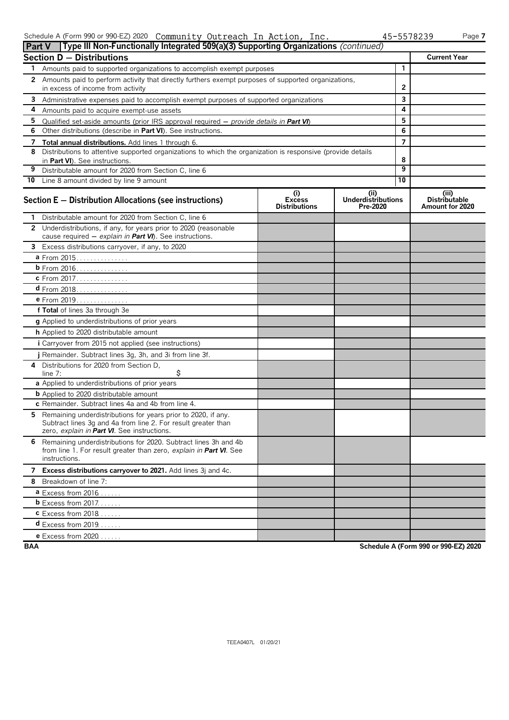| Part V     | <b>Type III Non-Functionally Integrated 509(a)(3) Supporting Organizations</b> (continued)                                                                                    |                                              |                                               |                |                                                  |
|------------|-------------------------------------------------------------------------------------------------------------------------------------------------------------------------------|----------------------------------------------|-----------------------------------------------|----------------|--------------------------------------------------|
|            | <b>Section D - Distributions</b>                                                                                                                                              |                                              |                                               |                | <b>Current Year</b>                              |
| 1.         | Amounts paid to supported organizations to accomplish exempt purposes                                                                                                         |                                              |                                               | $\mathbf{1}$   |                                                  |
| 2          | Amounts paid to perform activity that directly furthers exempt purposes of supported organizations,<br>in excess of income from activity                                      | 2                                            |                                               |                |                                                  |
| 3          | Administrative expenses paid to accomplish exempt purposes of supported organizations                                                                                         |                                              |                                               | 3              |                                                  |
| 4          | Amounts paid to acquire exempt-use assets                                                                                                                                     |                                              |                                               | 4              |                                                  |
| 5          | Qualified set-aside amounts (prior IRS approval required $-$ provide details in Part VI)                                                                                      |                                              |                                               | 5              |                                                  |
| 6          | Other distributions (describe in Part VI). See instructions.                                                                                                                  |                                              |                                               | 6              |                                                  |
| 7          | Total annual distributions. Add lines 1 through 6.                                                                                                                            |                                              |                                               | $\overline{7}$ |                                                  |
| 8          | Distributions to attentive supported organizations to which the organization is responsive (provide details<br>in Part VI). See instructions.                                 |                                              |                                               | 8              |                                                  |
| 9          | Distributable amount for 2020 from Section C, line 6                                                                                                                          |                                              |                                               | 9              |                                                  |
|            | 10 Line 8 amount divided by line 9 amount                                                                                                                                     |                                              |                                               | 10             |                                                  |
|            | Section E - Distribution Allocations (see instructions)                                                                                                                       | (i)<br><b>Excess</b><br><b>Distributions</b> | (ii)<br><b>Underdistributions</b><br>Pre-2020 |                | (iii)<br><b>Distributable</b><br>Amount for 2020 |
|            | Distributable amount for 2020 from Section C, line 6                                                                                                                          |                                              |                                               |                |                                                  |
|            | 2 Underdistributions, if any, for years prior to 2020 (reasonable<br>cause required $-$ explain in Part VI). See instructions.                                                |                                              |                                               |                |                                                  |
|            | 3 Excess distributions carryover, if any, to 2020                                                                                                                             |                                              |                                               |                |                                                  |
|            | a From 2015.                                                                                                                                                                  |                                              |                                               |                |                                                  |
|            | <b>b</b> From 2016.                                                                                                                                                           |                                              |                                               |                |                                                  |
|            | C From 2017.                                                                                                                                                                  |                                              |                                               |                |                                                  |
|            | $d$ From 2018.                                                                                                                                                                |                                              |                                               |                |                                                  |
|            | e From 2019.                                                                                                                                                                  |                                              |                                               |                |                                                  |
|            | f Total of lines 3a through 3e                                                                                                                                                |                                              |                                               |                |                                                  |
|            | g Applied to underdistributions of prior years                                                                                                                                |                                              |                                               |                |                                                  |
|            | h Applied to 2020 distributable amount                                                                                                                                        |                                              |                                               |                |                                                  |
|            | <i>i</i> Carryover from 2015 not applied (see instructions)                                                                                                                   |                                              |                                               |                |                                                  |
|            | j Remainder. Subtract lines 3g, 3h, and 3i from line 3f.                                                                                                                      |                                              |                                               |                |                                                  |
| 4          | Distributions for 2020 from Section D,<br>\$<br>line $7:$                                                                                                                     |                                              |                                               |                |                                                  |
|            | a Applied to underdistributions of prior years                                                                                                                                |                                              |                                               |                |                                                  |
|            | <b>b</b> Applied to 2020 distributable amount                                                                                                                                 |                                              |                                               |                |                                                  |
|            | c Remainder. Subtract lines 4a and 4b from line 4.                                                                                                                            |                                              |                                               |                |                                                  |
| 5.         | Remaining underdistributions for years prior to 2020, if any.<br>Subtract lines 3g and 4a from line 2. For result greater than<br>zero, explain in Part VI. See instructions. |                                              |                                               |                |                                                  |
| 6.         | Remaining underdistributions for 2020. Subtract lines 3h and 4b<br>from line 1. For result greater than zero, explain in <b>Part VI</b> . See<br>instructions.                |                                              |                                               |                |                                                  |
|            | 7 Excess distributions carryover to 2021. Add lines 3j and 4c.                                                                                                                |                                              |                                               |                |                                                  |
|            | 8 Breakdown of line 7:                                                                                                                                                        |                                              |                                               |                |                                                  |
|            | <b>a</b> Excess from 2016                                                                                                                                                     |                                              |                                               |                |                                                  |
|            | $b$ Excess from 2017.                                                                                                                                                         |                                              |                                               |                |                                                  |
|            | $c$ Excess from 2018                                                                                                                                                          |                                              |                                               |                |                                                  |
|            | <b>d</b> Excess from 2019                                                                                                                                                     |                                              |                                               |                |                                                  |
|            | <b>e</b> Excess from $2020$                                                                                                                                                   |                                              |                                               |                |                                                  |
| <b>BAA</b> |                                                                                                                                                                               |                                              |                                               |                | Schedule A (Form 990 or 990-EZ) 2020             |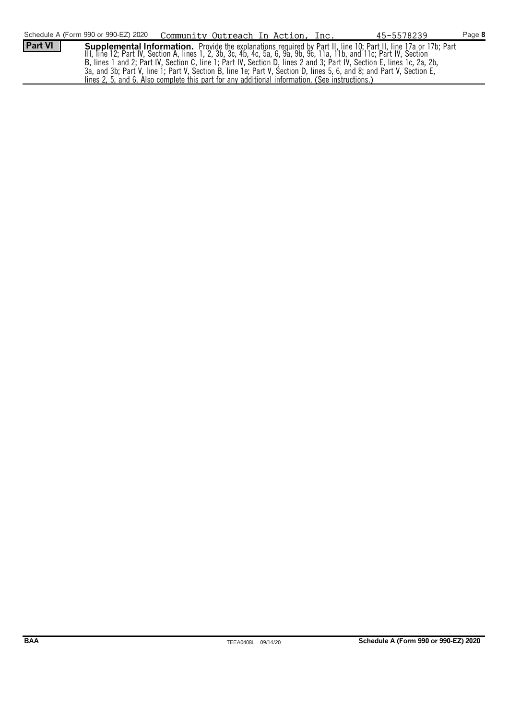|         | Schedule A (Form 990 or 990-EZ) 2020                                                           | Community Outreach In Action, Inc. |  | 45-5578239                                                                                                                                                                                                                        | Page 8 |
|---------|------------------------------------------------------------------------------------------------|------------------------------------|--|-----------------------------------------------------------------------------------------------------------------------------------------------------------------------------------------------------------------------------------|--------|
| Part VI |                                                                                                |                                    |  | Supplemental Information. Provide the explanations required by Part II, line 10; Part II, line 17a or 17b; Part<br>III, line 12; Part IV, Section A, lines 1, 2, 3b, 3c, 4b, 4c, 5a, 6, 9a, 9b, 9c, 11a, 11b, and 11c; Part IV, S |        |
|         |                                                                                                |                                    |  | B, lines 1 and 2; Part IV, Section C, line 1; Part IV, Section D, lines 2 and 3; Part IV, Section E, lines 1c, 2a, 2b,                                                                                                            |        |
|         |                                                                                                |                                    |  | 3a, and 3b; Part V, line 1; Part V, Section B, line 1e; Part V, Section D, lines 5, 6, and 8; and Part V, Section E,                                                                                                              |        |
|         | lines 2, 5, and 6. Also complete this part for any additional information. (See instructions.) |                                    |  |                                                                                                                                                                                                                                   |        |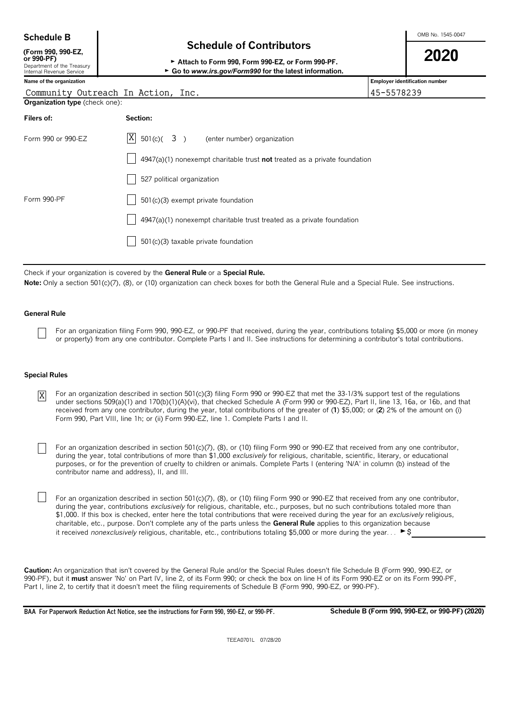| <b>Schedule B</b> | 1545-0047<br>OMB No. |
|-------------------|----------------------|
|                   |                      |

# **Schedule of Contributors**

| (Form 990, 990-EZ,<br>or 990-PF)                       |
|--------------------------------------------------------|
| Department of the Treasury<br>Internal Revenue Service |

# **or 990-PF)** <sup>G</sup>**Attach to Form 990, Form 990-EZ, or Form 990-PF. 2020** ► Go to *www.irs.gov/Form990* for the latest information.

**Name of the organization** 

Community Outreach In Action, Inc. 45-5578239

| Community Outreach In Action, Inc. |  |  |
|------------------------------------|--|--|
|                                    |  |  |

| Organization type (check one): |  |  |
|--------------------------------|--|--|

| Filers of:         | Section:                                                                    |
|--------------------|-----------------------------------------------------------------------------|
| Form 990 or 990-EZ | $ X $ 501(c)( 3) (enter number) organization                                |
|                    | $4947(a)(1)$ nonexempt charitable trust not treated as a private foundation |
|                    | 527 political organization                                                  |
| Form 990-PF        | 501(c)(3) exempt private foundation                                         |
|                    | 4947(a)(1) nonexempt charitable trust treated as a private foundation       |
|                    | 501(c)(3) taxable private foundation                                        |
|                    |                                                                             |

Check if your organization is covered by the **General Rule** or a **Special Rule.** Note: Only a section 501(c)(7), (8), or (10) organization can check boxes for both the General Rule and a Special Rule. See instructions.

# **General Rule**

For an organization filing Form 990, 990-EZ, or 990-PF that received, during the year, contributions totaling \$5,000 or more (in money or property) from any one contributor. Complete Parts I and II. See instructions for determining a contributor's total contributions.

### **Special Rules**

 $\overline{\phantom{a}}$ 

| $\overline{X}$ For an organization described in section 501(c)(3) filing Form 990 or 990-EZ that met the 33-1/3% support test of the requlations<br>under sections 509(a)(1) and 170(b)(1)(A)(vi), that checked Schedule A (Form 990 or 990-EZ), Part II, line 13, 16a, or 16b, and that |
|------------------------------------------------------------------------------------------------------------------------------------------------------------------------------------------------------------------------------------------------------------------------------------------|
| received from any one contributor, during the year, total contributions of the greater of (1) \$5,000; or (2) 2% of the amount on (i)<br>Form 990, Part VIII, line 1h; or (ii) Form 990-EZ, line 1. Complete Parts I and II.                                                             |

For an organization described in section 501(c)(7), (8), or (10) filing Form 990 or 990-EZ that received from any one contributor, during the year, total contributions of more than \$1,000 *exclusively* for religious, charitable, scientific, literary, or educational purposes, or for the prevention of cruelty to children or animals. Complete Parts I (entering 'N/A' in column (b) instead of the contributor name and address), II, and III.

For an organization described in section 501(c)(7), (8), or (10) filing Form 990 or 990-EZ that received from any one contributor, during the year, contributions *exclusively* for religious, charitable, etc., purposes, but no such contributions totaled more than \$1,000. If this box is checked, enter here the total contributions that were received during the year for an *exclusively* religious, charitable, etc., purpose. Don't complete any of the parts unless the **General Rule** applies to this organization because it received *nonexclusively* religious, charitable, etc., contributions totaling \$5,000 or more during the year. .  $\blacktriangleright$ \$

**Caution:** An organization that isn't covered by the General Rule and/or the Special Rules doesn't file Schedule B (Form 990, 990-EZ, or 990-PF), but it **must** answer 'No' on Part IV, line 2, of its Form 990; or check the box on line H of its Form 990-EZ or on its Form 990-PF, Part I, line 2, to certify that it doesn't meet the filing requirements of Schedule B (Form 990, 990-EZ, or 990-PF).

**BAA For Paperwork Reduction Act Notice, see the instructions for Form 990, 990-EZ, or 990-PF. Schedule B (Form 990, 990-EZ, or 990-PF) (2020)**

TEEA0701L 07/28/20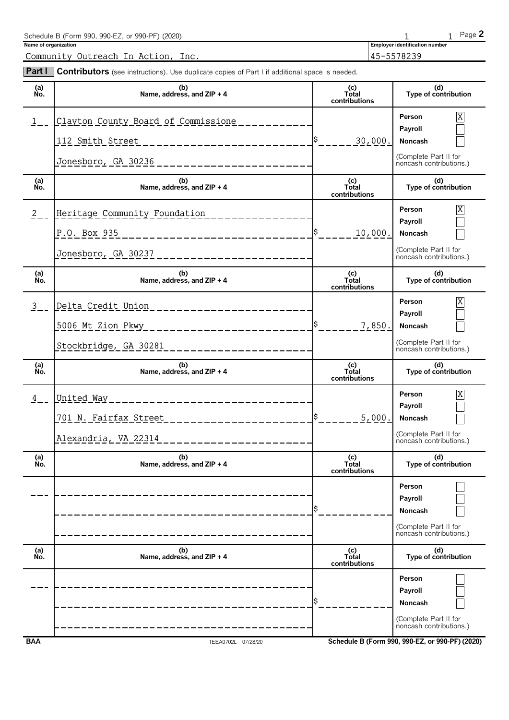| $ -$<br>990<br>(2020)<br>990-E<br>990-F<br>DE<br>Schedule<br>∽orn<br>$\sim$<br>. <i>.</i> . |                                             |  |
|---------------------------------------------------------------------------------------------|---------------------------------------------|--|
| Name of organization                                                                        | ----<br>' identification number<br>cmploye. |  |

Community Outreach In Action, Inc. 45-5578239

**Part I** Contributors (see instructions). Use duplicate copies of Part I if additional space is needed.

| (a)<br>No.    | (b)<br>Name, address, and ZIP + 4                                                                        | (c)<br>Total<br>contributions | (d)<br>Type of contribution                                                           |
|---------------|----------------------------------------------------------------------------------------------------------|-------------------------------|---------------------------------------------------------------------------------------|
| 1             | Clayton County Board of Commissione<br>112 Smith Street<br>Jonesboro, GA 30236 _________________________ | 30,000.                       | X<br>Person<br>Payroll<br>Noncash<br>(Complete Part II for<br>noncash contributions.) |
| (a)<br>No.    | (b)<br>Name, address, and ZIP + 4                                                                        | (c)<br>Total<br>contributions | (d)<br>Type of contribution                                                           |
| $2$ $-$       | Heritage Community Foundation<br>P.O. Box 935<br>Jonesboro, GA 30237__________________________           | 10,000.                       | Χ<br>Person<br>Payroll<br>Noncash<br>(Complete Part II for<br>noncash contributions.) |
| (a)<br>No.    | (b)<br>Name, address, and ZIP + 4                                                                        | (c)<br>Total<br>contributions | (d)<br>Type of contribution                                                           |
| $\frac{3}{2}$ | Delta Credit Union<br>-------------------<br>5006 Mt Zion Pkwy<br>________________________               | 7,850.                        | Person<br>Payroll<br>Noncash<br>(Complete Part II for<br>noncash contributions.)      |
| (a)<br>No.    | (b)<br>Name, address, and ZIP + 4                                                                        | (c)<br>Total<br>contributions | (d)<br>Type of contribution                                                           |
|               |                                                                                                          |                               |                                                                                       |
| $\frac{4}{1}$ | 701 N. Fairfax Street _____________________<br>Alexandria, VA 22314                                      | 5,000.                        | Person<br>Payroll<br>Noncash<br>(Complete Part II for<br>noncash contributions.)      |
| (a)<br>No.    | (b)<br>Name, address, and ZIP + 4                                                                        | (c)<br>Total<br>contributions | (d)<br>Type of contribution                                                           |
|               |                                                                                                          |                               | Person<br>Payroll<br>Noncash<br>(Complete Part II for<br>noncash contributions.)      |
| (a)<br>No.    | (b)<br>Name, address, and ZIP + 4                                                                        | (c)<br>Total<br>contributions | (d)<br>Type of contribution                                                           |
|               |                                                                                                          |                               | Person<br>Payroll<br>Noncash<br>(Complete Part II for<br>noncash contributions.)      |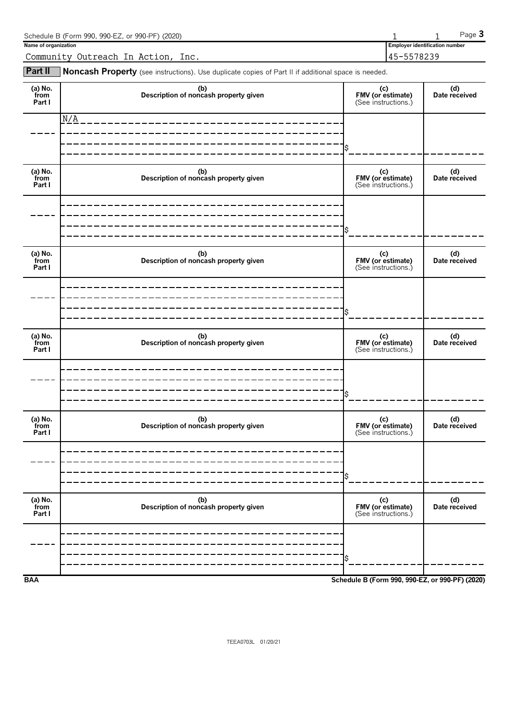| Schedule B (Form 990, 990-EZ, or 990-PF) (2020) |                                | Page $\mathbf{5}$ |
|-------------------------------------------------|--------------------------------|-------------------|
| Name of organization                            | Employer identification number |                   |
| Community Outreach In Action,<br>Inc.           | 45-5578239                     |                   |

**Part II** Noncash Property (see instructions). Use duplicate copies of Part II if additional space is needed.

| (a) $No.$ from<br>Part I  | (b)<br>Description of noncash property given | (c)<br>FMV (or estimate)<br>(See instructions.) | (d)<br>Date received |
|---------------------------|----------------------------------------------|-------------------------------------------------|----------------------|
|                           | N/A                                          |                                                 |                      |
|                           |                                              |                                                 |                      |
| (a) No.<br>from<br>Part I | (b)<br>Description of noncash property given | (c)<br>FMV (or estimate)<br>(See instructions.) | (d)<br>Date received |
|                           |                                              |                                                 |                      |
|                           |                                              |                                                 |                      |
| (a) $No.$ from<br>Part I  | (b)<br>Description of noncash property given | (c)<br>FMV (or estimate)<br>(See instructions.) | (d)<br>Date received |
|                           |                                              |                                                 |                      |
|                           |                                              |                                                 |                      |
| (a) No.<br>from<br>Part I | (b)<br>Description of noncash property given | (c)<br>FMV (or estimate)<br>(See instructions.) | (d)<br>Date received |
|                           |                                              |                                                 |                      |
|                           |                                              |                                                 |                      |
| (a) No.<br>from<br>Part I | (b)<br>Description of noncash property given | (c)<br>FMV (or estimate)<br>(See instructions.) | (d)<br>Date received |
|                           |                                              |                                                 |                      |
|                           |                                              |                                                 |                      |
| (a) No.<br>from<br>Part I | (b)<br>Description of noncash property given | (c)<br>FMV (or estimate)<br>(See instructions.) | (d)<br>Date received |
|                           |                                              |                                                 |                      |
|                           |                                              |                                                 |                      |
| <b>BAA</b>                |                                              | Schedule B (Form 990, 990-EZ, or 990-PF) (2020) |                      |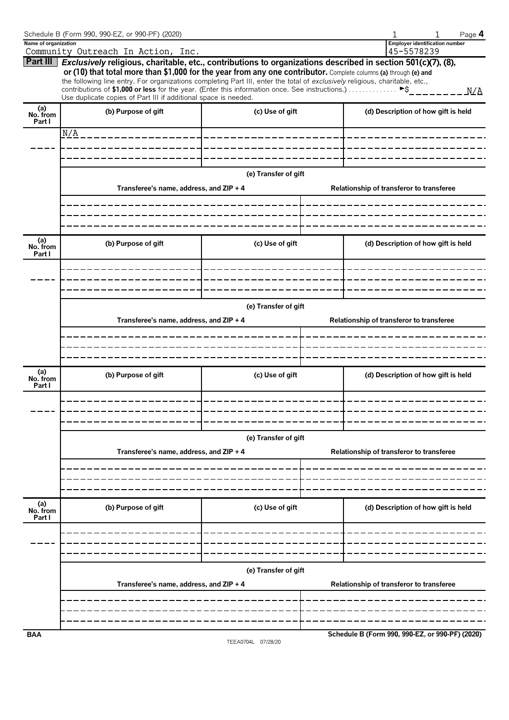|                           | Schedule B (Form 990, 990-EZ, or 990-PF) (2020)                                                                                                                                                                                                                                                                                                                                                                                                                                                                                                                          |                      |                                     | Page 4                                              |
|---------------------------|--------------------------------------------------------------------------------------------------------------------------------------------------------------------------------------------------------------------------------------------------------------------------------------------------------------------------------------------------------------------------------------------------------------------------------------------------------------------------------------------------------------------------------------------------------------------------|----------------------|-------------------------------------|-----------------------------------------------------|
| Name of organization      | Community Outreach In Action, Inc.                                                                                                                                                                                                                                                                                                                                                                                                                                                                                                                                       |                      |                                     | <b>Employer identification number</b><br>45-5578239 |
|                           | Part III Exclusively religious, charitable, etc., contributions to organizations described in section 501(c)(7), (8),<br>or (10) that total more than \$1,000 for the year from any one contributor. Complete columns (a) through (e) and<br>the following line entry. For organizations completing Part III, enter the total of exclusively religious, charitable, etc.,<br>contributions of \$1,000 or less for the year. (Enter this information once. See instructions.) $\blacktriangleright$ \$<br>Use duplicate copies of Part III if additional space is needed. |                      |                                     | N/A                                                 |
| (a)<br>No. from<br>Part I | (c) Use of gift<br>(b) Purpose of gift                                                                                                                                                                                                                                                                                                                                                                                                                                                                                                                                   |                      | (d) Description of how gift is held |                                                     |
|                           | N/A                                                                                                                                                                                                                                                                                                                                                                                                                                                                                                                                                                      |                      |                                     |                                                     |
|                           |                                                                                                                                                                                                                                                                                                                                                                                                                                                                                                                                                                          |                      |                                     |                                                     |
|                           |                                                                                                                                                                                                                                                                                                                                                                                                                                                                                                                                                                          |                      |                                     |                                                     |
|                           |                                                                                                                                                                                                                                                                                                                                                                                                                                                                                                                                                                          | (e) Transfer of gift |                                     |                                                     |
|                           | Transferee's name, address, and ZIP + 4                                                                                                                                                                                                                                                                                                                                                                                                                                                                                                                                  |                      |                                     | Relationship of transferor to transferee            |
|                           |                                                                                                                                                                                                                                                                                                                                                                                                                                                                                                                                                                          |                      |                                     |                                                     |
|                           |                                                                                                                                                                                                                                                                                                                                                                                                                                                                                                                                                                          |                      |                                     |                                                     |
| (a)<br>No. from<br>Part I | (b) Purpose of gift                                                                                                                                                                                                                                                                                                                                                                                                                                                                                                                                                      | (c) Use of gift      |                                     | (d) Description of how gift is held                 |
|                           |                                                                                                                                                                                                                                                                                                                                                                                                                                                                                                                                                                          |                      |                                     |                                                     |
|                           |                                                                                                                                                                                                                                                                                                                                                                                                                                                                                                                                                                          | (e) Transfer of gift |                                     |                                                     |
|                           | Transferee's name, address, and ZIP + 4                                                                                                                                                                                                                                                                                                                                                                                                                                                                                                                                  |                      |                                     | Relationship of transferor to transferee            |
|                           |                                                                                                                                                                                                                                                                                                                                                                                                                                                                                                                                                                          |                      |                                     |                                                     |
|                           |                                                                                                                                                                                                                                                                                                                                                                                                                                                                                                                                                                          |                      |                                     |                                                     |
|                           |                                                                                                                                                                                                                                                                                                                                                                                                                                                                                                                                                                          |                      |                                     |                                                     |
| (a)<br>No. from<br>Part I | (b) Purpose of gift                                                                                                                                                                                                                                                                                                                                                                                                                                                                                                                                                      | (c) Use of gift      |                                     | (d) Description of how gift is held                 |
|                           |                                                                                                                                                                                                                                                                                                                                                                                                                                                                                                                                                                          |                      |                                     |                                                     |
|                           |                                                                                                                                                                                                                                                                                                                                                                                                                                                                                                                                                                          | (e) Transfer of gift |                                     |                                                     |
|                           | Transferee's name, address, and ZIP + 4                                                                                                                                                                                                                                                                                                                                                                                                                                                                                                                                  |                      |                                     | Relationship of transferor to transferee            |
|                           |                                                                                                                                                                                                                                                                                                                                                                                                                                                                                                                                                                          |                      |                                     |                                                     |
|                           |                                                                                                                                                                                                                                                                                                                                                                                                                                                                                                                                                                          |                      |                                     |                                                     |
|                           |                                                                                                                                                                                                                                                                                                                                                                                                                                                                                                                                                                          |                      |                                     |                                                     |
| (a)<br>No. from<br>Part I | (b) Purpose of gift                                                                                                                                                                                                                                                                                                                                                                                                                                                                                                                                                      | (c) Use of gift      |                                     | (d) Description of how gift is held                 |
|                           |                                                                                                                                                                                                                                                                                                                                                                                                                                                                                                                                                                          |                      |                                     |                                                     |
|                           |                                                                                                                                                                                                                                                                                                                                                                                                                                                                                                                                                                          |                      |                                     |                                                     |
|                           |                                                                                                                                                                                                                                                                                                                                                                                                                                                                                                                                                                          |                      |                                     |                                                     |
|                           | (e) Transfer of gift                                                                                                                                                                                                                                                                                                                                                                                                                                                                                                                                                     |                      |                                     |                                                     |
|                           | Transferee's name, address, and ZIP + 4                                                                                                                                                                                                                                                                                                                                                                                                                                                                                                                                  |                      |                                     | Relationship of transferor to transferee            |
|                           |                                                                                                                                                                                                                                                                                                                                                                                                                                                                                                                                                                          |                      |                                     |                                                     |
|                           |                                                                                                                                                                                                                                                                                                                                                                                                                                                                                                                                                                          |                      |                                     |                                                     |
| <b>BAA</b>                |                                                                                                                                                                                                                                                                                                                                                                                                                                                                                                                                                                          |                      |                                     | Schedule B (Form 990, 990-EZ, or 990-PF) (2020)     |

TEEA0704L 07/28/20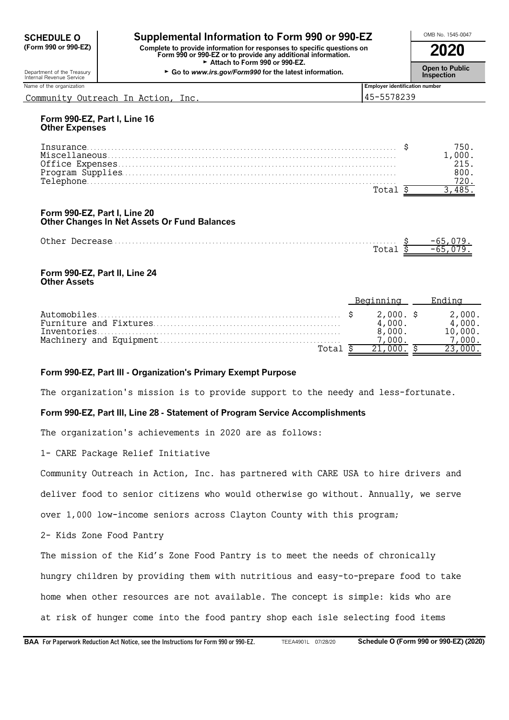# **CHEDULE O Supplemental Information to Form 990 or 990-EZ** <br>
Complete to provide information for responses to specific questions on **20020**

**(Form 990 or 990-EZ) Complete to provide information for responses to specific questions on Form 990 or 990-EZ or to provide any additional information. 2020** Attach to Form 990 or 990-EZ.

**Open to Public** Department of the Treasury Constants of the Treasury Constants of the Treasury Constants of the Treasury Georgian Department of the Treasury Constants of the Interaction. <br> **Department of the Interaction** 

Department of the Treasury<br>Internal Revenue Service

| Name of the organization                                 | <b>Employer identification number</b> |
|----------------------------------------------------------|---------------------------------------|
| $\sim$<br>Community<br>ΤIJ<br>Outreach<br>lnc.<br>Action | F F H A A A A<br>$-$<br>8435<br>≖◡    |

#### **Form 990-EZ, Part I, Line 16 Other Expenses**

# **Form 990-EZ, Part I, Line 20 Other Changes In Net Assets Or Fund Balances**

| Other<br>ن ص ر |    |  |
|----------------|----|--|
|                | __ |  |

# **Form 990-EZ, Part II, Line 24 Other Assets**

|              | Beainnina                     | Endina                      |
|--------------|-------------------------------|-----------------------------|
|              | 2,000. \$<br>4,000.<br>8.000. | 2,000.<br>4.000.<br>10,000. |
| $T \cap$ tal | ' OOO                         | 7.000.                      |

# **Form 990-EZ, Part III - Organization's Primary Exempt Purpose**

The organization's mission is to provide support to the needy and less-fortunate.

# **Form 990-EZ, Part III, Line 28 - Statement of Program Service Accomplishments**

The organization's achievements in 2020 are as follows:

1- CARE Package Relief Initiative

Community Outreach in Action, Inc. has partnered with CARE USA to hire drivers and deliver food to senior citizens who would otherwise go without. Annually, we serve over 1,000 low-income seniors across Clayton County with this program;

2- Kids Zone Food Pantry

The mission of the Kid's Zone Food Pantry is to meet the needs of chronically hungry children by providing them with nutritious and easy-to-prepare food to take home when other resources are not available. The concept is simple: kids who are at risk of hunger come into the food pantry shop each isle selecting food items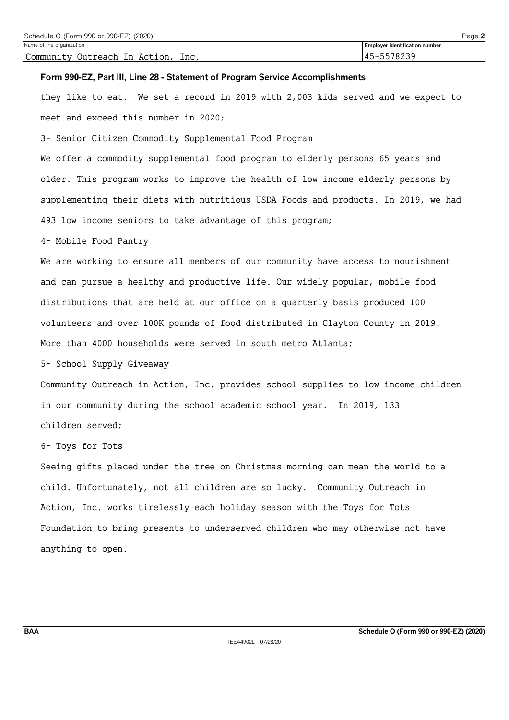| Name of the organization      | <b>Employer identification number</b> |
|-------------------------------|---------------------------------------|
| Community Outreach In Action, | 45-5578239                            |

#### **Form 990-EZ, Part III, Line 28 - Statement of Program Service Accomplishments**

they like to eat. We set a record in 2019 with 2,003 kids served and we expect to meet and exceed this number in 2020;

3- Senior Citizen Commodity Supplemental Food Program

We offer a commodity supplemental food program to elderly persons 65 years and older. This program works to improve the health of low income elderly persons by supplementing their diets with nutritious USDA Foods and products. In 2019, we had 493 low income seniors to take advantage of this program;

# 4- Mobile Food Pantry

We are working to ensure all members of our community have access to nourishment and can pursue a healthy and productive life. Our widely popular, mobile food distributions that are held at our office on a quarterly basis produced 100 volunteers and over 100K pounds of food distributed in Clayton County in 2019. More than 4000 households were served in south metro Atlanta:

5- School Supply Giveaway

Community Outreach in Action, Inc. provides school supplies to low income children in our community during the school academic school year. In 2019, 133 children served;

# 6- Toys for Tots

Seeing gifts placed under the tree on Christmas morning can mean the world to a child. Unfortunately, not all children are so lucky. Community Outreach in Action, Inc. works tirelessly each holiday season with the Toys for Tots Foundation to bring presents to underserved children who may otherwise not have anything to open.